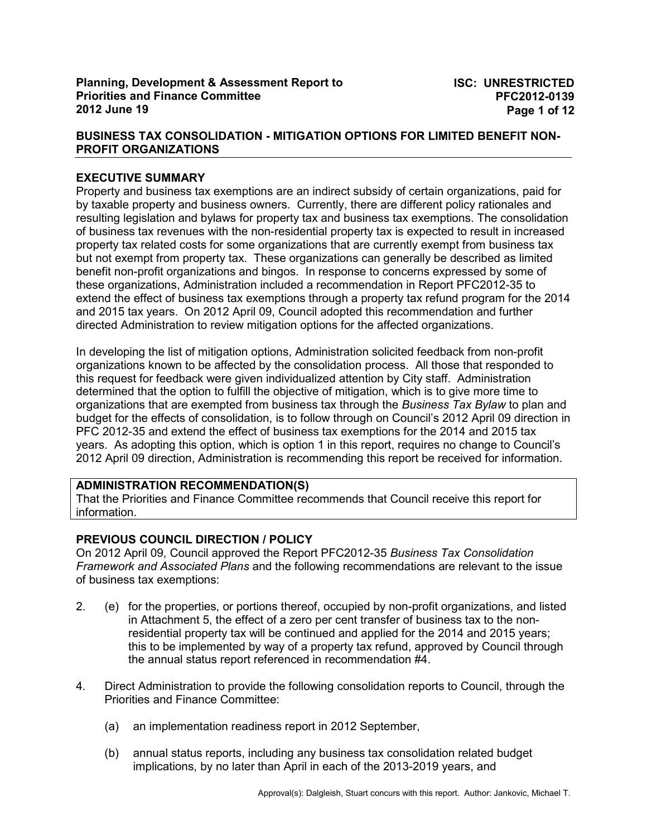## **EXECUTIVE SUMMARY**

Property and business tax exemptions are an indirect subsidy of certain organizations, paid for by taxable property and business owners. Currently, there are different policy rationales and resulting legislation and bylaws for property tax and business tax exemptions. The consolidation of business tax revenues with the non-residential property tax is expected to result in increased property tax related costs for some organizations that are currently exempt from business tax but not exempt from property tax. These organizations can generally be described as limited benefit non-profit organizations and bingos. In response to concerns expressed by some of these organizations, Administration included a recommendation in Report PFC2012-35 to extend the effect of business tax exemptions through a property tax refund program for the 2014 and 2015 tax years. On 2012 April 09, Council adopted this recommendation and further directed Administration to review mitigation options for the affected organizations.

In developing the list of mitigation options, Administration solicited feedback from non-profit organizations known to be affected by the consolidation process. All those that responded to this request for feedback were given individualized attention by City staff. Administration determined that the option to fulfill the objective of mitigation, which is to give more time to organizations that are exempted from business tax through the *Business Tax Bylaw* to plan and budget for the effects of consolidation, is to follow through on Council's 2012 April 09 direction in PFC 2012-35 and extend the effect of business tax exemptions for the 2014 and 2015 tax years. As adopting this option, which is option 1 in this report, requires no change to Council's 2012 April 09 direction, Administration is recommending this report be received for information.

## **ADMINISTRATION RECOMMENDATION(S)**

That the Priorities and Finance Committee recommends that Council receive this report for information.

# **PREVIOUS COUNCIL DIRECTION / POLICY**

On 2012 April 09, Council approved the Report PFC2012-35 *Business Tax Consolidation Framework and Associated Plans* and the following recommendations are relevant to the issue of business tax exemptions:

- 2. (e) for the properties, or portions thereof, occupied by non-profit organizations, and listed in Attachment 5, the effect of a zero per cent transfer of business tax to the nonresidential property tax will be continued and applied for the 2014 and 2015 years; this to be implemented by way of a property tax refund, approved by Council through the annual status report referenced in recommendation #4.
- 4. Direct Administration to provide the following consolidation reports to Council, through the Priorities and Finance Committee:
	- (a) an implementation readiness report in 2012 September,
	- (b) annual status reports, including any business tax consolidation related budget implications, by no later than April in each of the 2013-2019 years, and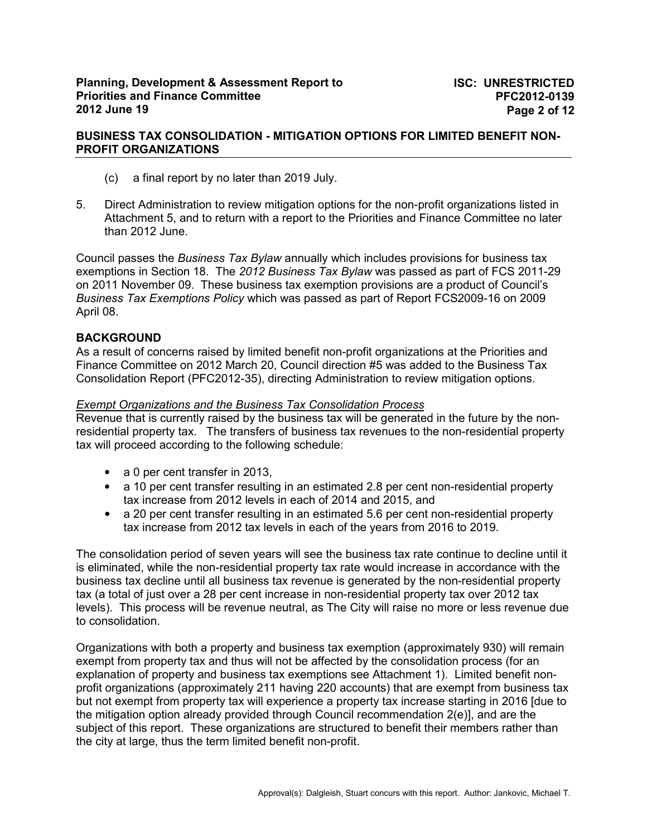- (c) a final report by no later than 2019 July.
- 5. Direct Administration to review mitigation options for the non-profit organizations listed in Attachment 5, and to return with a report to the Priorities and Finance Committee no later than 2012 June.

Council passes the *Business Tax Bylaw* annually which includes provisions for business tax exemptions in Section 18. The *2012 Business Tax Bylaw* was passed as part of FCS 2011-29 on 2011 November 09. These business tax exemption provisions are a product of Council's *Business Tax Exemptions Policy* which was passed as part of Report FCS2009-16 on 2009 April 08.

### **BACKGROUND**

As a result of concerns raised by limited benefit non-profit organizations at the Priorities and Finance Committee on 2012 March 20, Council direction #5 was added to the Business Tax Consolidation Report (PFC2012-35), directing Administration to review mitigation options.

#### *Exempt Organizations and the Business Tax Consolidation Process*

Revenue that is currently raised by the business tax will be generated in the future by the nonresidential property tax. The transfers of business tax revenues to the non-residential property tax will proceed according to the following schedule:

- a 0 per cent transfer in 2013,
- a 10 per cent transfer resulting in an estimated 2.8 per cent non-residential property tax increase from 2012 levels in each of 2014 and 2015, and
- a 20 per cent transfer resulting in an estimated 5.6 per cent non-residential property tax increase from 2012 tax levels in each of the years from 2016 to 2019.

The consolidation period of seven years will see the business tax rate continue to decline until it is eliminated, while the non-residential property tax rate would increase in accordance with the business tax decline until all business tax revenue is generated by the non-residential property tax (a total of just over a 28 per cent increase in non-residential property tax over 2012 tax levels). This process will be revenue neutral, as The City will raise no more or less revenue due to consolidation.

Organizations with both a property and business tax exemption (approximately 930) will remain exempt from property tax and thus will not be affected by the consolidation process (for an explanation of property and business tax exemptions see Attachment 1). Limited benefit nonprofit organizations (approximately 211 having 220 accounts) that are exempt from business tax but not exempt from property tax will experience a property tax increase starting in 2016 [due to the mitigation option already provided through Council recommendation 2(e)], and are the subject of this report. These organizations are structured to benefit their members rather than the city at large, thus the term limited benefit non-profit.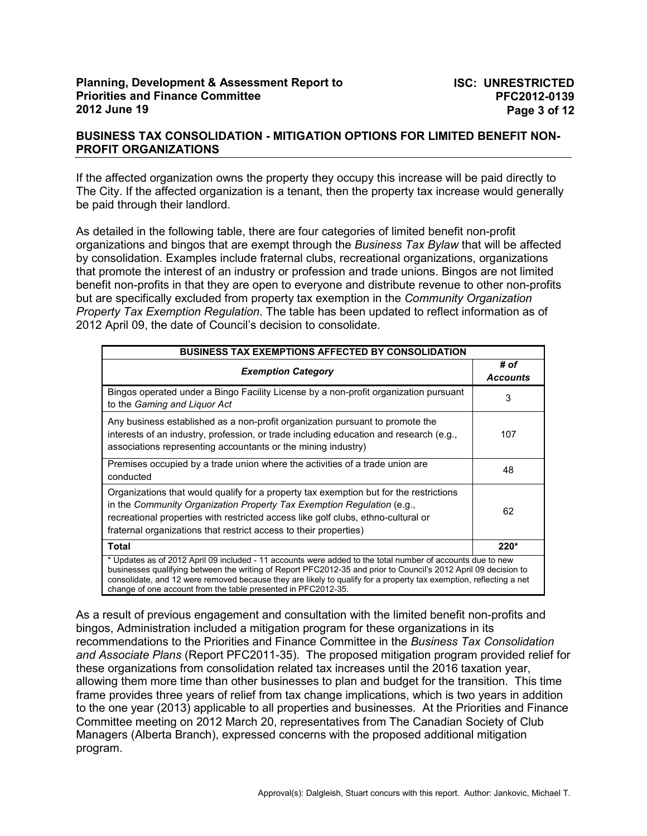## **BUSINESS TAX CONSOLIDATION - MITIGATION OPTIONS FOR LIMITED BENEFIT NON-PROFIT ORGANIZATIONS**

If the affected organization owns the property they occupy this increase will be paid directly to The City. If the affected organization is a tenant, then the property tax increase would generally be paid through their landlord.

As detailed in the following table, there are four categories of limited benefit non-profit organizations and bingos that are exempt through the *Business Tax Bylaw* that will be affected by consolidation. Examples include fraternal clubs, recreational organizations, organizations that promote the interest of an industry or profession and trade unions. Bingos are not limited benefit non-profits in that they are open to everyone and distribute revenue to other non-profits but are specifically excluded from property tax exemption in the *Community Organization Property Tax Exemption Regulation*. The table has been updated to reflect information as of 2012 April 09, the date of Council's decision to consolidate.

| <b>BUSINESS TAX EXEMPTIONS AFFECTED BY CONSOLIDATION</b>                                                                                                                                                                                                                                                                                                                                                             |                         |  |
|----------------------------------------------------------------------------------------------------------------------------------------------------------------------------------------------------------------------------------------------------------------------------------------------------------------------------------------------------------------------------------------------------------------------|-------------------------|--|
| <b>Exemption Category</b>                                                                                                                                                                                                                                                                                                                                                                                            | # of<br><b>Accounts</b> |  |
| Bingos operated under a Bingo Facility License by a non-profit organization pursuant<br>to the Gaming and Liguor Act                                                                                                                                                                                                                                                                                                 | 3                       |  |
| Any business established as a non-profit organization pursuant to promote the<br>interests of an industry, profession, or trade including education and research (e.g.,<br>associations representing accountants or the mining industry)                                                                                                                                                                             | 107                     |  |
| Premises occupied by a trade union where the activities of a trade union are<br>conducted                                                                                                                                                                                                                                                                                                                            | 48                      |  |
| Organizations that would qualify for a property tax exemption but for the restrictions<br>in the Community Organization Property Tax Exemption Regulation (e.g.,<br>recreational properties with restricted access like golf clubs, ethno-cultural or<br>fraternal organizations that restrict access to their properties)                                                                                           | 62                      |  |
| Total                                                                                                                                                                                                                                                                                                                                                                                                                | $220*$                  |  |
| * Updates as of 2012 April 09 included - 11 accounts were added to the total number of accounts due to new<br>businesses qualifying between the writing of Report PFC2012-35 and prior to Council's 2012 April 09 decision to<br>consolidate, and 12 were removed because they are likely to qualify for a property tax exemption, reflecting a net<br>change of one account from the table presented in PFC2012-35. |                         |  |

As a result of previous engagement and consultation with the limited benefit non-profits and bingos, Administration included a mitigation program for these organizations in its recommendations to the Priorities and Finance Committee in the *Business Tax Consolidation and Associate Plans* (Report PFC2011-35). The proposed mitigation program provided relief for these organizations from consolidation related tax increases until the 2016 taxation year, allowing them more time than other businesses to plan and budget for the transition. This time frame provides three years of relief from tax change implications, which is two years in addition to the one year (2013) applicable to all properties and businesses. At the Priorities and Finance Committee meeting on 2012 March 20, representatives from The Canadian Society of Club Managers (Alberta Branch), expressed concerns with the proposed additional mitigation program.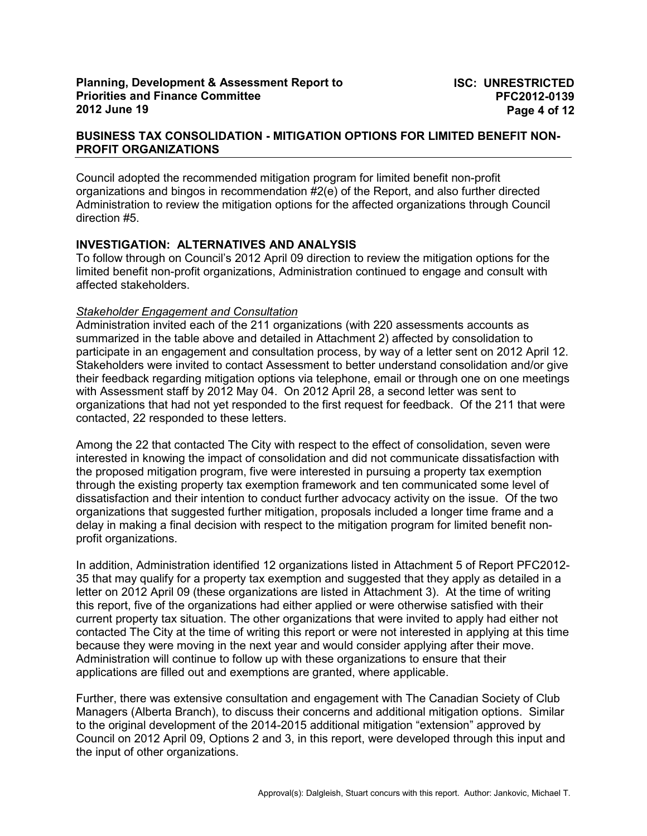Council adopted the recommended mitigation program for limited benefit non-profit organizations and bingos in recommendation #2(e) of the Report, and also further directed Administration to review the mitigation options for the affected organizations through Council direction #5.

## **INVESTIGATION: ALTERNATIVES AND ANALYSIS**

To follow through on Council's 2012 April 09 direction to review the mitigation options for the limited benefit non-profit organizations, Administration continued to engage and consult with affected stakeholders.

## *Stakeholder Engagement and Consultation*

Administration invited each of the 211 organizations (with 220 assessments accounts as summarized in the table above and detailed in Attachment 2) affected by consolidation to participate in an engagement and consultation process, by way of a letter sent on 2012 April 12. Stakeholders were invited to contact Assessment to better understand consolidation and/or give their feedback regarding mitigation options via telephone, email or through one on one meetings with Assessment staff by 2012 May 04. On 2012 April 28, a second letter was sent to organizations that had not yet responded to the first request for feedback. Of the 211 that were contacted, 22 responded to these letters.

Among the 22 that contacted The City with respect to the effect of consolidation, seven were interested in knowing the impact of consolidation and did not communicate dissatisfaction with the proposed mitigation program, five were interested in pursuing a property tax exemption through the existing property tax exemption framework and ten communicated some level of dissatisfaction and their intention to conduct further advocacy activity on the issue. Of the two organizations that suggested further mitigation, proposals included a longer time frame and a delay in making a final decision with respect to the mitigation program for limited benefit nonprofit organizations.

In addition, Administration identified 12 organizations listed in Attachment 5 of Report PFC2012- 35 that may qualify for a property tax exemption and suggested that they apply as detailed in a letter on 2012 April 09 (these organizations are listed in Attachment 3). At the time of writing this report, five of the organizations had either applied or were otherwise satisfied with their current property tax situation. The other organizations that were invited to apply had either not contacted The City at the time of writing this report or were not interested in applying at this time because they were moving in the next year and would consider applying after their move. Administration will continue to follow up with these organizations to ensure that their applications are filled out and exemptions are granted, where applicable.

Further, there was extensive consultation and engagement with The Canadian Society of Club Managers (Alberta Branch), to discuss their concerns and additional mitigation options. Similar to the original development of the 2014-2015 additional mitigation "extension" approved by Council on 2012 April 09, Options 2 and 3, in this report, were developed through this input and the input of other organizations.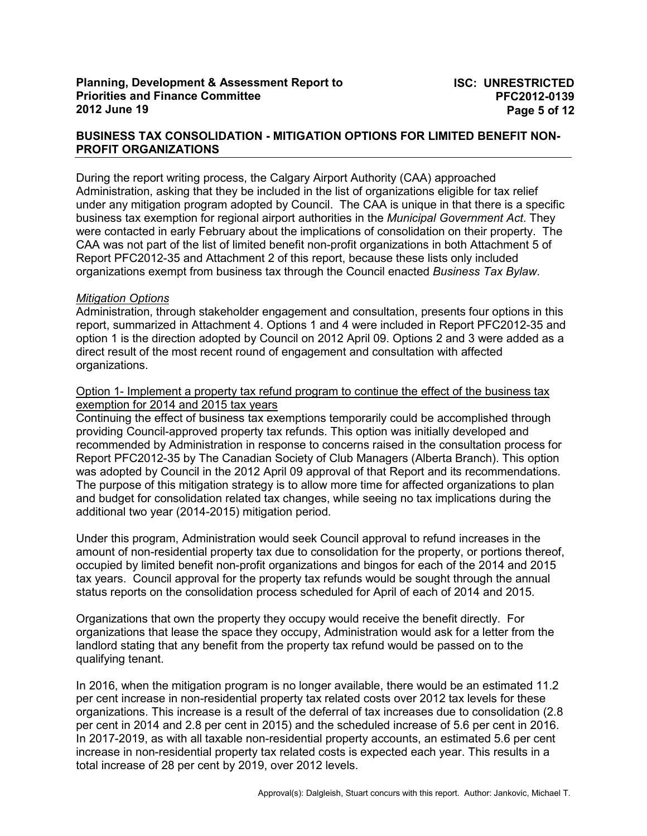During the report writing process, the Calgary Airport Authority (CAA) approached Administration, asking that they be included in the list of organizations eligible for tax relief under any mitigation program adopted by Council. The CAA is unique in that there is a specific business tax exemption for regional airport authorities in the *Municipal Government Act*. They were contacted in early February about the implications of consolidation on their property. The CAA was not part of the list of limited benefit non-profit organizations in both Attachment 5 of Report PFC2012-35 and Attachment 2 of this report, because these lists only included organizations exempt from business tax through the Council enacted *Business Tax Bylaw*.

### *Mitigation Options*

Administration, through stakeholder engagement and consultation, presents four options in this report, summarized in Attachment 4. Options 1 and 4 were included in Report PFC2012-35 and option 1 is the direction adopted by Council on 2012 April 09. Options 2 and 3 were added as a direct result of the most recent round of engagement and consultation with affected organizations.

#### Option 1- Implement a property tax refund program to continue the effect of the business tax exemption for 2014 and 2015 tax years

Continuing the effect of business tax exemptions temporarily could be accomplished through providing Council-approved property tax refunds. This option was initially developed and recommended by Administration in response to concerns raised in the consultation process for Report PFC2012-35 by The Canadian Society of Club Managers (Alberta Branch). This option was adopted by Council in the 2012 April 09 approval of that Report and its recommendations. The purpose of this mitigation strategy is to allow more time for affected organizations to plan and budget for consolidation related tax changes, while seeing no tax implications during the additional two year (2014-2015) mitigation period.

Under this program, Administration would seek Council approval to refund increases in the amount of non-residential property tax due to consolidation for the property, or portions thereof, occupied by limited benefit non-profit organizations and bingos for each of the 2014 and 2015 tax years. Council approval for the property tax refunds would be sought through the annual status reports on the consolidation process scheduled for April of each of 2014 and 2015.

Organizations that own the property they occupy would receive the benefit directly. For organizations that lease the space they occupy, Administration would ask for a letter from the landlord stating that any benefit from the property tax refund would be passed on to the qualifying tenant.

In 2016, when the mitigation program is no longer available, there would be an estimated 11.2 per cent increase in non-residential property tax related costs over 2012 tax levels for these organizations. This increase is a result of the deferral of tax increases due to consolidation (2.8 per cent in 2014 and 2.8 per cent in 2015) and the scheduled increase of 5.6 per cent in 2016. In 2017-2019, as with all taxable non-residential property accounts, an estimated 5.6 per cent increase in non-residential property tax related costs is expected each year. This results in a total increase of 28 per cent by 2019, over 2012 levels.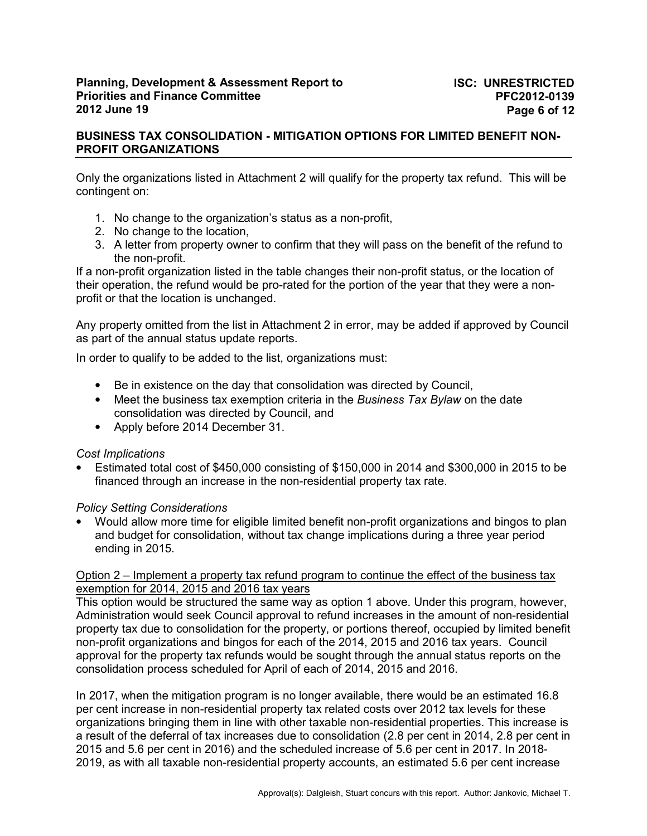Only the organizations listed in Attachment 2 will qualify for the property tax refund. This will be contingent on:

- 1. No change to the organization's status as a non-profit,
- 2. No change to the location,
- 3. A letter from property owner to confirm that they will pass on the benefit of the refund to the non-profit.

If a non-profit organization listed in the table changes their non-profit status, or the location of their operation, the refund would be pro-rated for the portion of the year that they were a nonprofit or that the location is unchanged.

Any property omitted from the list in Attachment 2 in error, may be added if approved by Council as part of the annual status update reports.

In order to qualify to be added to the list, organizations must:

- Be in existence on the day that consolidation was directed by Council,
- Meet the business tax exemption criteria in the *Business Tax Bylaw* on the date consolidation was directed by Council, and
- Apply before 2014 December 31.

#### *Cost Implications*

• Estimated total cost of \$450,000 consisting of \$150,000 in 2014 and \$300,000 in 2015 to be financed through an increase in the non-residential property tax rate.

## *Policy Setting Considerations*

• Would allow more time for eligible limited benefit non-profit organizations and bingos to plan and budget for consolidation, without tax change implications during a three year period ending in 2015.

## Option 2 – Implement a property tax refund program to continue the effect of the business tax exemption for 2014, 2015 and 2016 tax years

This option would be structured the same way as option 1 above. Under this program, however, Administration would seek Council approval to refund increases in the amount of non-residential property tax due to consolidation for the property, or portions thereof, occupied by limited benefit non-profit organizations and bingos for each of the 2014, 2015 and 2016 tax years. Council approval for the property tax refunds would be sought through the annual status reports on the consolidation process scheduled for April of each of 2014, 2015 and 2016.

In 2017, when the mitigation program is no longer available, there would be an estimated 16.8 per cent increase in non-residential property tax related costs over 2012 tax levels for these organizations bringing them in line with other taxable non-residential properties. This increase is a result of the deferral of tax increases due to consolidation (2.8 per cent in 2014, 2.8 per cent in 2015 and 5.6 per cent in 2016) and the scheduled increase of 5.6 per cent in 2017. In 2018- 2019, as with all taxable non-residential property accounts, an estimated 5.6 per cent increase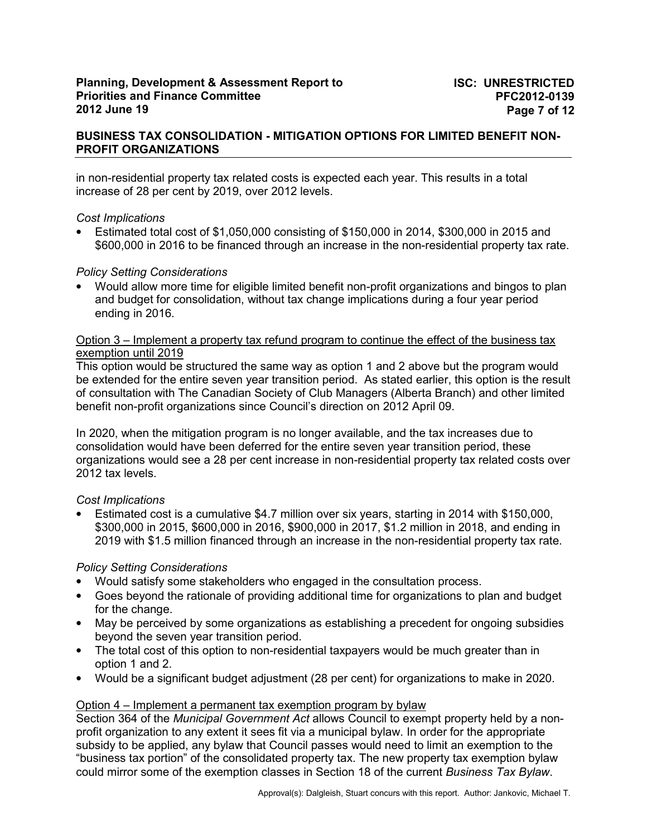## **BUSINESS TAX CONSOLIDATION - MITIGATION OPTIONS FOR LIMITED BENEFIT NON-PROFIT ORGANIZATIONS**

in non-residential property tax related costs is expected each year. This results in a total increase of 28 per cent by 2019, over 2012 levels.

### *Cost Implications*

• Estimated total cost of \$1,050,000 consisting of \$150,000 in 2014, \$300,000 in 2015 and \$600,000 in 2016 to be financed through an increase in the non-residential property tax rate.

## *Policy Setting Considerations*

• Would allow more time for eligible limited benefit non-profit organizations and bingos to plan and budget for consolidation, without tax change implications during a four year period ending in 2016.

#### Option 3 – Implement a property tax refund program to continue the effect of the business tax exemption until 2019

This option would be structured the same way as option 1 and 2 above but the program would be extended for the entire seven year transition period. As stated earlier, this option is the result of consultation with The Canadian Society of Club Managers (Alberta Branch) and other limited benefit non-profit organizations since Council's direction on 2012 April 09.

In 2020, when the mitigation program is no longer available, and the tax increases due to consolidation would have been deferred for the entire seven year transition period, these organizations would see a 28 per cent increase in non-residential property tax related costs over 2012 tax levels.

## *Cost Implications*

• Estimated cost is a cumulative \$4.7 million over six years, starting in 2014 with \$150,000, \$300,000 in 2015, \$600,000 in 2016, \$900,000 in 2017, \$1.2 million in 2018, and ending in 2019 with \$1.5 million financed through an increase in the non-residential property tax rate.

## *Policy Setting Considerations*

- Would satisfy some stakeholders who engaged in the consultation process.
- Goes beyond the rationale of providing additional time for organizations to plan and budget for the change.
- May be perceived by some organizations as establishing a precedent for ongoing subsidies beyond the seven year transition period.
- The total cost of this option to non-residential taxpayers would be much greater than in option 1 and 2.
- Would be a significant budget adjustment (28 per cent) for organizations to make in 2020.

## Option 4 – Implement a permanent tax exemption program by bylaw

Section 364 of the *Municipal Government Act* allows Council to exempt property held by a nonprofit organization to any extent it sees fit via a municipal bylaw. In order for the appropriate subsidy to be applied, any bylaw that Council passes would need to limit an exemption to the "business tax portion" of the consolidated property tax. The new property tax exemption bylaw could mirror some of the exemption classes in Section 18 of the current *Business Tax Bylaw*.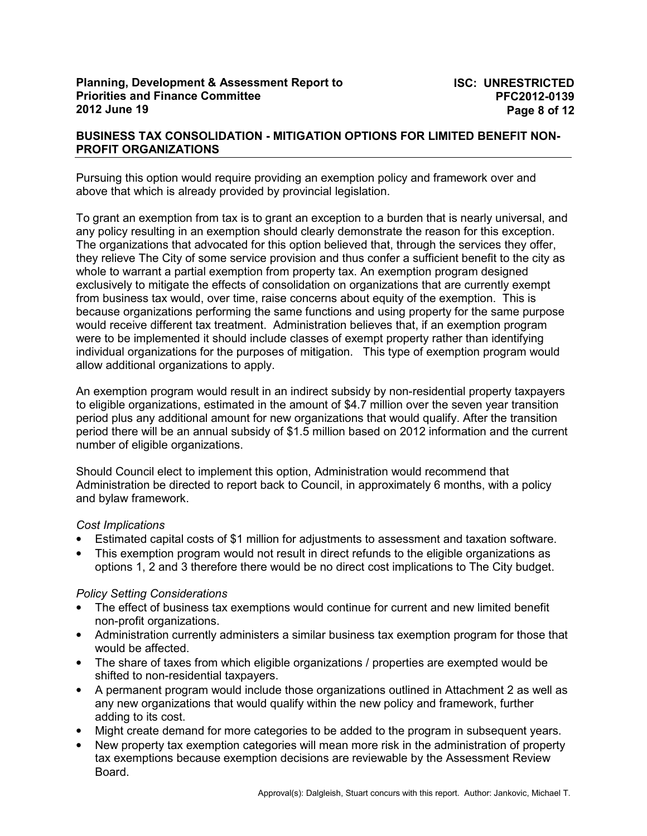## **BUSINESS TAX CONSOLIDATION - MITIGATION OPTIONS FOR LIMITED BENEFIT NON-PROFIT ORGANIZATIONS**

Pursuing this option would require providing an exemption policy and framework over and above that which is already provided by provincial legislation.

To grant an exemption from tax is to grant an exception to a burden that is nearly universal, and any policy resulting in an exemption should clearly demonstrate the reason for this exception. The organizations that advocated for this option believed that, through the services they offer, they relieve The City of some service provision and thus confer a sufficient benefit to the city as whole to warrant a partial exemption from property tax. An exemption program designed exclusively to mitigate the effects of consolidation on organizations that are currently exempt from business tax would, over time, raise concerns about equity of the exemption. This is because organizations performing the same functions and using property for the same purpose would receive different tax treatment. Administration believes that, if an exemption program were to be implemented it should include classes of exempt property rather than identifying individual organizations for the purposes of mitigation. This type of exemption program would allow additional organizations to apply.

An exemption program would result in an indirect subsidy by non-residential property taxpayers to eligible organizations, estimated in the amount of \$4.7 million over the seven year transition period plus any additional amount for new organizations that would qualify. After the transition period there will be an annual subsidy of \$1.5 million based on 2012 information and the current number of eligible organizations.

Should Council elect to implement this option, Administration would recommend that Administration be directed to report back to Council, in approximately 6 months, with a policy and bylaw framework.

## *Cost Implications*

- Estimated capital costs of \$1 million for adjustments to assessment and taxation software.
- This exemption program would not result in direct refunds to the eligible organizations as options 1, 2 and 3 therefore there would be no direct cost implications to The City budget.

## *Policy Setting Considerations*

- The effect of business tax exemptions would continue for current and new limited benefit non-profit organizations.
- Administration currently administers a similar business tax exemption program for those that would be affected.
- The share of taxes from which eligible organizations / properties are exempted would be shifted to non-residential taxpayers.
- A permanent program would include those organizations outlined in Attachment 2 as well as any new organizations that would qualify within the new policy and framework, further adding to its cost.
- Might create demand for more categories to be added to the program in subsequent years.
- New property tax exemption categories will mean more risk in the administration of property tax exemptions because exemption decisions are reviewable by the Assessment Review Board.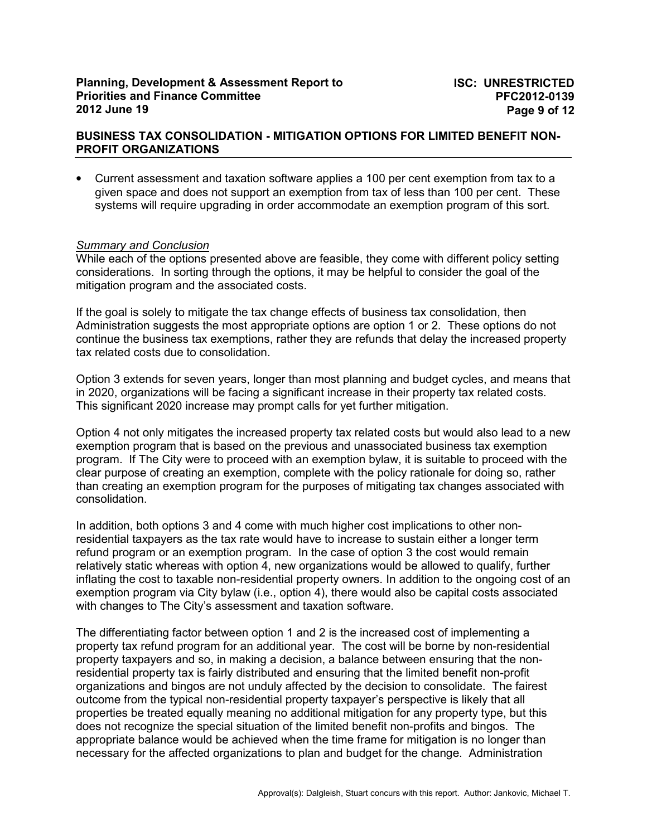• Current assessment and taxation software applies a 100 per cent exemption from tax to a given space and does not support an exemption from tax of less than 100 per cent. These systems will require upgrading in order accommodate an exemption program of this sort.

### *Summary and Conclusion*

While each of the options presented above are feasible, they come with different policy setting considerations. In sorting through the options, it may be helpful to consider the goal of the mitigation program and the associated costs.

If the goal is solely to mitigate the tax change effects of business tax consolidation, then Administration suggests the most appropriate options are option 1 or 2. These options do not continue the business tax exemptions, rather they are refunds that delay the increased property tax related costs due to consolidation.

Option 3 extends for seven years, longer than most planning and budget cycles, and means that in 2020, organizations will be facing a significant increase in their property tax related costs. This significant 2020 increase may prompt calls for yet further mitigation.

Option 4 not only mitigates the increased property tax related costs but would also lead to a new exemption program that is based on the previous and unassociated business tax exemption program. If The City were to proceed with an exemption bylaw, it is suitable to proceed with the clear purpose of creating an exemption, complete with the policy rationale for doing so, rather than creating an exemption program for the purposes of mitigating tax changes associated with consolidation.

In addition, both options 3 and 4 come with much higher cost implications to other nonresidential taxpayers as the tax rate would have to increase to sustain either a longer term refund program or an exemption program. In the case of option 3 the cost would remain relatively static whereas with option 4, new organizations would be allowed to qualify, further inflating the cost to taxable non-residential property owners. In addition to the ongoing cost of an exemption program via City bylaw (i.e., option 4), there would also be capital costs associated with changes to The City's assessment and taxation software.

The differentiating factor between option 1 and 2 is the increased cost of implementing a property tax refund program for an additional year. The cost will be borne by non-residential property taxpayers and so, in making a decision, a balance between ensuring that the nonresidential property tax is fairly distributed and ensuring that the limited benefit non-profit organizations and bingos are not unduly affected by the decision to consolidate. The fairest outcome from the typical non-residential property taxpayer's perspective is likely that all properties be treated equally meaning no additional mitigation for any property type, but this does not recognize the special situation of the limited benefit non-profits and bingos. The appropriate balance would be achieved when the time frame for mitigation is no longer than necessary for the affected organizations to plan and budget for the change. Administration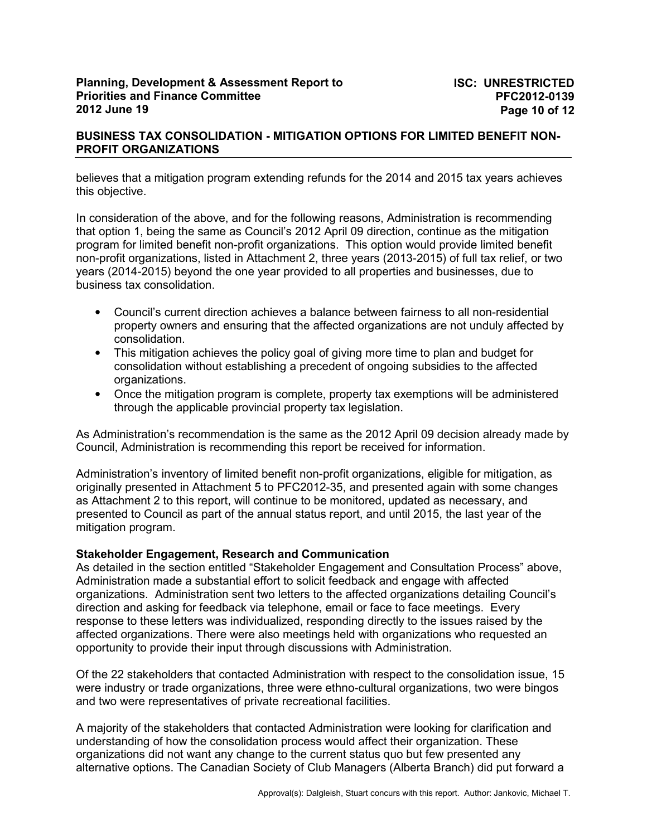## **BUSINESS TAX CONSOLIDATION - MITIGATION OPTIONS FOR LIMITED BENEFIT NON-PROFIT ORGANIZATIONS**

believes that a mitigation program extending refunds for the 2014 and 2015 tax years achieves this objective.

In consideration of the above, and for the following reasons, Administration is recommending that option 1, being the same as Council's 2012 April 09 direction, continue as the mitigation program for limited benefit non-profit organizations. This option would provide limited benefit non-profit organizations, listed in Attachment 2, three years (2013-2015) of full tax relief, or two years (2014-2015) beyond the one year provided to all properties and businesses, due to business tax consolidation.

- Council's current direction achieves a balance between fairness to all non-residential property owners and ensuring that the affected organizations are not unduly affected by consolidation.
- This mitigation achieves the policy goal of giving more time to plan and budget for consolidation without establishing a precedent of ongoing subsidies to the affected organizations.
- Once the mitigation program is complete, property tax exemptions will be administered through the applicable provincial property tax legislation.

As Administration's recommendation is the same as the 2012 April 09 decision already made by Council, Administration is recommending this report be received for information.

Administration's inventory of limited benefit non-profit organizations, eligible for mitigation, as originally presented in Attachment 5 to PFC2012-35, and presented again with some changes as Attachment 2 to this report, will continue to be monitored, updated as necessary, and presented to Council as part of the annual status report, and until 2015, the last year of the mitigation program.

#### **Stakeholder Engagement, Research and Communication**

As detailed in the section entitled "Stakeholder Engagement and Consultation Process" above, Administration made a substantial effort to solicit feedback and engage with affected organizations. Administration sent two letters to the affected organizations detailing Council's direction and asking for feedback via telephone, email or face to face meetings. Every response to these letters was individualized, responding directly to the issues raised by the affected organizations. There were also meetings held with organizations who requested an opportunity to provide their input through discussions with Administration.

Of the 22 stakeholders that contacted Administration with respect to the consolidation issue, 15 were industry or trade organizations, three were ethno-cultural organizations, two were bingos and two were representatives of private recreational facilities.

A majority of the stakeholders that contacted Administration were looking for clarification and understanding of how the consolidation process would affect their organization. These organizations did not want any change to the current status quo but few presented any alternative options. The Canadian Society of Club Managers (Alberta Branch) did put forward a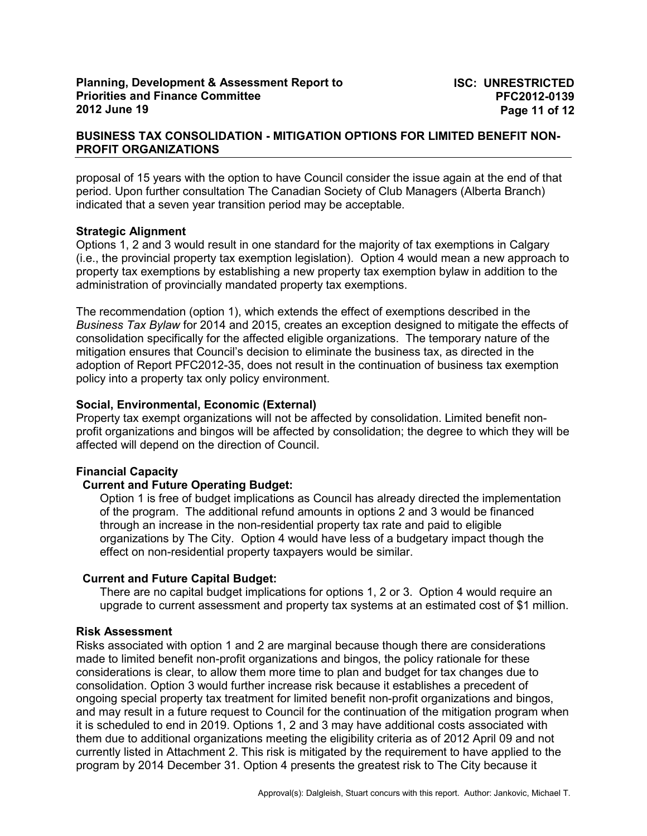## **BUSINESS TAX CONSOLIDATION - MITIGATION OPTIONS FOR LIMITED BENEFIT NON-PROFIT ORGANIZATIONS**

proposal of 15 years with the option to have Council consider the issue again at the end of that period. Upon further consultation The Canadian Society of Club Managers (Alberta Branch) indicated that a seven year transition period may be acceptable.

### **Strategic Alignment**

Options 1, 2 and 3 would result in one standard for the majority of tax exemptions in Calgary (i.e., the provincial property tax exemption legislation). Option 4 would mean a new approach to property tax exemptions by establishing a new property tax exemption bylaw in addition to the administration of provincially mandated property tax exemptions.

The recommendation (option 1), which extends the effect of exemptions described in the *Business Tax Bylaw* for 2014 and 2015, creates an exception designed to mitigate the effects of consolidation specifically for the affected eligible organizations. The temporary nature of the mitigation ensures that Council's decision to eliminate the business tax, as directed in the adoption of Report PFC2012-35, does not result in the continuation of business tax exemption policy into a property tax only policy environment.

### **Social, Environmental, Economic (External)**

Property tax exempt organizations will not be affected by consolidation. Limited benefit nonprofit organizations and bingos will be affected by consolidation; the degree to which they will be affected will depend on the direction of Council.

## **Financial Capacity**

## **Current and Future Operating Budget:**

Option 1 is free of budget implications as Council has already directed the implementation of the program. The additional refund amounts in options 2 and 3 would be financed through an increase in the non-residential property tax rate and paid to eligible organizations by The City. Option 4 would have less of a budgetary impact though the effect on non-residential property taxpayers would be similar.

#### **Current and Future Capital Budget:**

There are no capital budget implications for options 1, 2 or 3. Option 4 would require an upgrade to current assessment and property tax systems at an estimated cost of \$1 million.

#### **Risk Assessment**

Risks associated with option 1 and 2 are marginal because though there are considerations made to limited benefit non-profit organizations and bingos, the policy rationale for these considerations is clear, to allow them more time to plan and budget for tax changes due to consolidation. Option 3 would further increase risk because it establishes a precedent of ongoing special property tax treatment for limited benefit non-profit organizations and bingos, and may result in a future request to Council for the continuation of the mitigation program when it is scheduled to end in 2019. Options 1, 2 and 3 may have additional costs associated with them due to additional organizations meeting the eligibility criteria as of 2012 April 09 and not currently listed in Attachment 2. This risk is mitigated by the requirement to have applied to the program by 2014 December 31. Option 4 presents the greatest risk to The City because it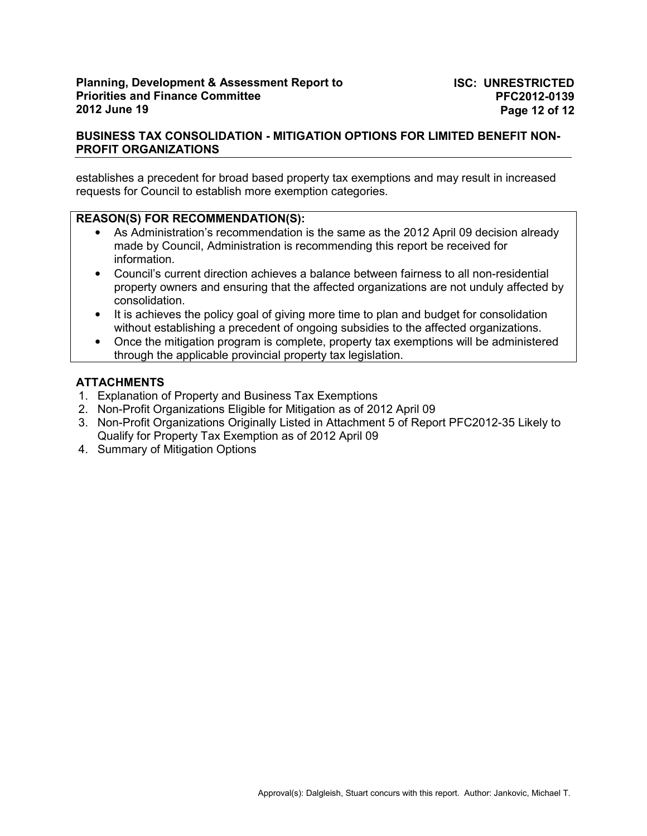## **BUSINESS TAX CONSOLIDATION - MITIGATION OPTIONS FOR LIMITED BENEFIT NON-PROFIT ORGANIZATIONS**

establishes a precedent for broad based property tax exemptions and may result in increased requests for Council to establish more exemption categories.

## **REASON(S) FOR RECOMMENDATION(S):**

- As Administration's recommendation is the same as the 2012 April 09 decision already made by Council, Administration is recommending this report be received for information.
- Council's current direction achieves a balance between fairness to all non-residential property owners and ensuring that the affected organizations are not unduly affected by consolidation.
- It is achieves the policy goal of giving more time to plan and budget for consolidation without establishing a precedent of ongoing subsidies to the affected organizations.
- Once the mitigation program is complete, property tax exemptions will be administered through the applicable provincial property tax legislation.

### **ATTACHMENTS**

- 1. Explanation of Property and Business Tax Exemptions
- 2. Non-Profit Organizations Eligible for Mitigation as of 2012 April 09
- 3. Non-Profit Organizations Originally Listed in Attachment 5 of Report PFC2012-35 Likely to Qualify for Property Tax Exemption as of 2012 April 09
- 4. Summary of Mitigation Options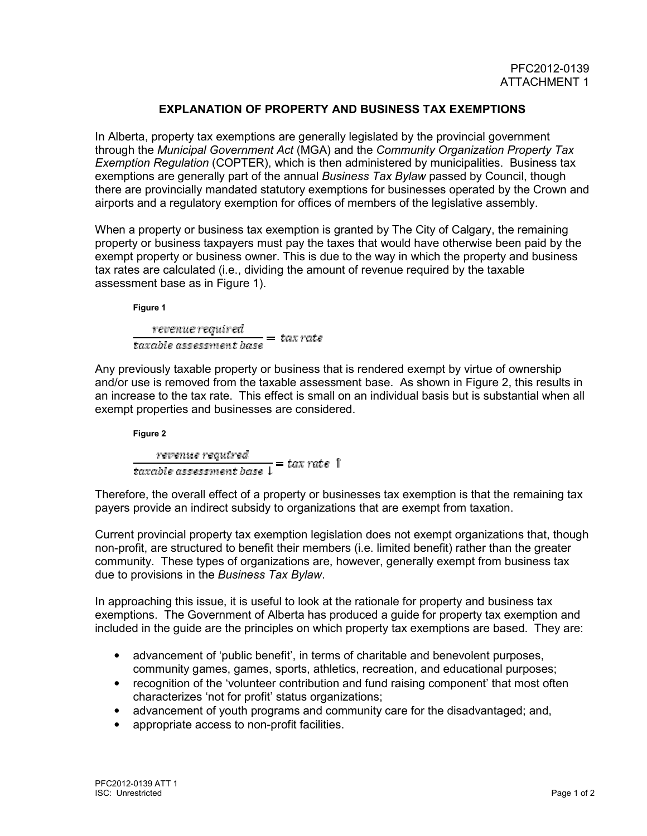# **EXPLANATION OF PROPERTY AND BUSINESS TAX EXEMPTIONS**

In Alberta, property tax exemptions are generally legislated by the provincial government through the *Municipal Government Act* (MGA) and the *Community Organization Property Tax Exemption Regulation* (COPTER), which is then administered by municipalities. Business tax exemptions are generally part of the annual *Business Tax Bylaw* passed by Council, though there are provincially mandated statutory exemptions for businesses operated by the Crown and airports and a regulatory exemption for offices of members of the legislative assembly.

When a property or business tax exemption is granted by The City of Calgary, the remaining property or business taxpayers must pay the taxes that would have otherwise been paid by the exempt property or business owner. This is due to the way in which the property and business tax rates are calculated (i.e., dividing the amount of revenue required by the taxable assessment base as in Figure 1).

**Figure 1** 

revenue required  $\frac{recimate \: required}{taxable \: assessment \: base} = tax \: rate$ 

Any previously taxable property or business that is rendered exempt by virtue of ownership and/or use is removed from the taxable assessment base. As shown in Figure 2, this results in an increase to the tax rate. This effect is small on an individual basis but is substantial when all exempt properties and businesses are considered.

**Figure 2**  revenue required<br>  $\frac{1}{\tan \theta} = \tan \theta$  assessment base  $1 = \tan \theta$ 

Therefore, the overall effect of a property or businesses tax exemption is that the remaining tax payers provide an indirect subsidy to organizations that are exempt from taxation.

Current provincial property tax exemption legislation does not exempt organizations that, though non-profit, are structured to benefit their members (i.e. limited benefit) rather than the greater community. These types of organizations are, however, generally exempt from business tax due to provisions in the *Business Tax Bylaw*.

In approaching this issue, it is useful to look at the rationale for property and business tax exemptions. The Government of Alberta has produced a guide for property tax exemption and included in the guide are the principles on which property tax exemptions are based. They are:

- advancement of 'public benefit', in terms of charitable and benevolent purposes, community games, games, sports, athletics, recreation, and educational purposes;
- recognition of the 'volunteer contribution and fund raising component' that most often characterizes 'not for profit' status organizations;
- advancement of youth programs and community care for the disadvantaged; and,
- appropriate access to non-profit facilities.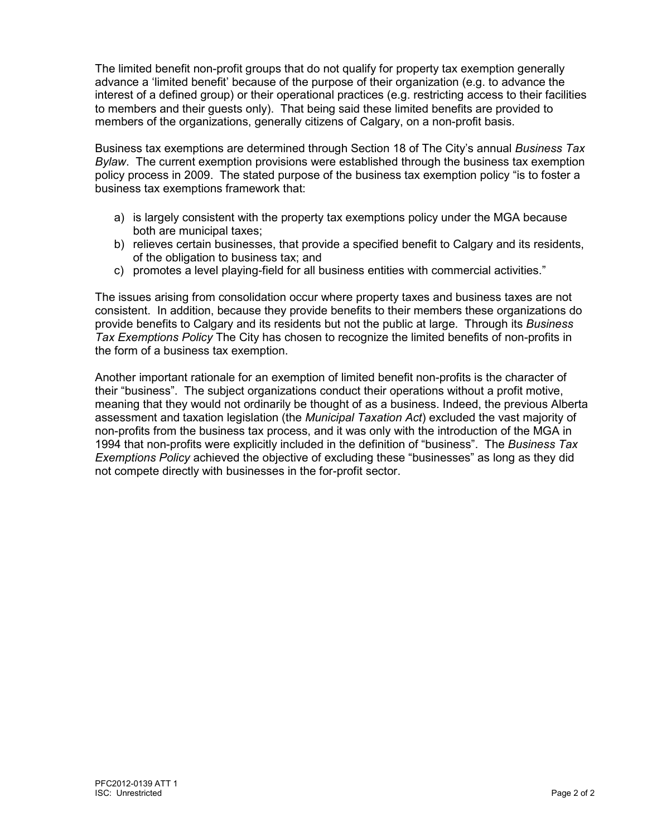The limited benefit non-profit groups that do not qualify for property tax exemption generally advance a 'limited benefit' because of the purpose of their organization (e.g. to advance the interest of a defined group) or their operational practices (e.g. restricting access to their facilities to members and their guests only). That being said these limited benefits are provided to members of the organizations, generally citizens of Calgary, on a non-profit basis.

Business tax exemptions are determined through Section 18 of The City's annual *Business Tax Bylaw*. The current exemption provisions were established through the business tax exemption policy process in 2009. The stated purpose of the business tax exemption policy "is to foster a business tax exemptions framework that:

- a) is largely consistent with the property tax exemptions policy under the MGA because both are municipal taxes;
- b) relieves certain businesses, that provide a specified benefit to Calgary and its residents, of the obligation to business tax; and
- c) promotes a level playing-field for all business entities with commercial activities."

The issues arising from consolidation occur where property taxes and business taxes are not consistent. In addition, because they provide benefits to their members these organizations do provide benefits to Calgary and its residents but not the public at large. Through its *Business Tax Exemptions Policy* The City has chosen to recognize the limited benefits of non-profits in the form of a business tax exemption.

Another important rationale for an exemption of limited benefit non-profits is the character of their "business". The subject organizations conduct their operations without a profit motive, meaning that they would not ordinarily be thought of as a business. Indeed, the previous Alberta assessment and taxation legislation (the *Municipal Taxation Act*) excluded the vast majority of non-profits from the business tax process, and it was only with the introduction of the MGA in 1994 that non-profits were explicitly included in the definition of "business". The *Business Tax Exemptions Policy* achieved the objective of excluding these "businesses" as long as they did not compete directly with businesses in the for-profit sector.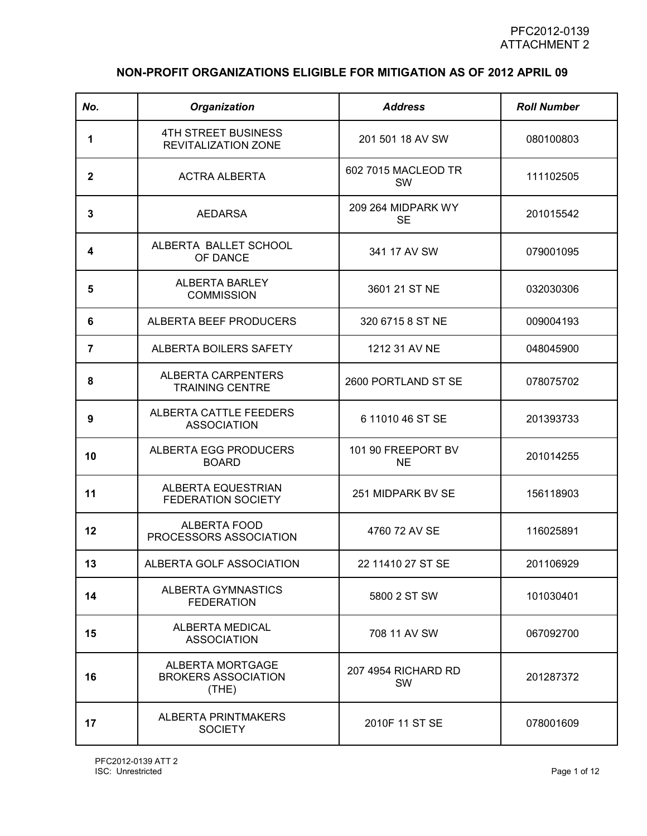# **NON-PROFIT ORGANIZATIONS ELIGIBLE FOR MITIGATION AS OF 2012 APRIL 09**

| No.            | Organization                                            | <b>Address</b>                   | <b>Roll Number</b> |
|----------------|---------------------------------------------------------|----------------------------------|--------------------|
| 1              | <b>4TH STREET BUSINESS</b><br>REVITALIZATION ZONE       | 201 501 18 AV SW                 | 080100803          |
| $\mathbf{2}$   | <b>ACTRA ALBERTA</b>                                    | 602 7015 MACLEOD TR<br><b>SW</b> | 111102505          |
| 3              | <b>AEDARSA</b>                                          | 209 264 MIDPARK WY<br><b>SE</b>  | 201015542          |
| 4              | ALBERTA BALLET SCHOOL<br>OF DANCE                       | 341 17 AV SW                     | 079001095          |
| 5              | ALBERTA BARLEY<br><b>COMMISSION</b>                     | 3601 21 ST NE                    | 032030306          |
| 6              | ALBERTA BEEF PRODUCERS                                  | 320 6715 8 ST NE                 | 009004193          |
| $\overline{7}$ | ALBERTA BOILERS SAFETY                                  | 1212 31 AV NE                    | 048045900          |
| 8              | <b>ALBERTA CARPENTERS</b><br><b>TRAINING CENTRE</b>     | 2600 PORTLAND ST SE              | 078075702          |
| 9              | ALBERTA CATTLE FEEDERS<br><b>ASSOCIATION</b>            | 6 11010 46 ST SE                 | 201393733          |
| 10             | ALBERTA EGG PRODUCERS<br><b>BOARD</b>                   | 101 90 FREEPORT BV<br><b>NE</b>  | 201014255          |
| 11             | ALBERTA EQUESTRIAN<br>FEDERATION SOCIETY                | 251 MIDPARK BV SE                | 156118903          |
| 12             | ALBERTA FOOD<br>PROCESSORS ASSOCIATION                  | 4760 72 AV SE                    | 116025891          |
| 13             | ALBERTA GOLF ASSOCIATION                                | 22 11410 27 ST SE                | 201106929          |
| 14             | ALBERTA GYMNASTICS<br><b>FEDERATION</b>                 | 5800 2 ST SW                     | 101030401          |
| 15             | ALBERTA MEDICAL<br><b>ASSOCIATION</b>                   | 708 11 AV SW                     | 067092700          |
| 16             | ALBERTA MORTGAGE<br><b>BROKERS ASSOCIATION</b><br>(THE) | 207 4954 RICHARD RD<br>SW        | 201287372          |
| 17             | <b>ALBERTA PRINTMAKERS</b><br><b>SOCIETY</b>            | 2010F 11 ST SE                   | 078001609          |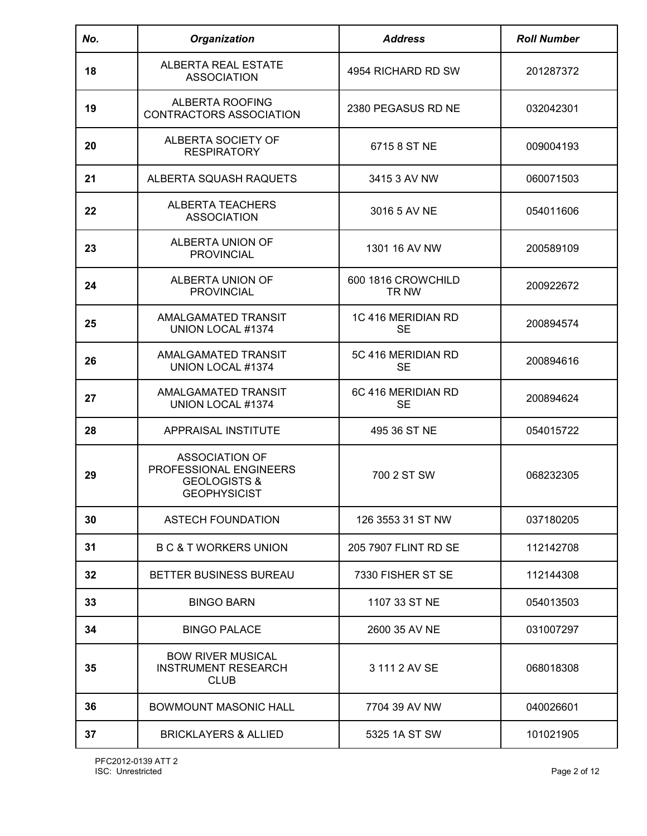| No. | Organization                                                                                      | <b>Address</b>                  | <b>Roll Number</b> |
|-----|---------------------------------------------------------------------------------------------------|---------------------------------|--------------------|
| 18  | ALBERTA REAL ESTATE<br><b>ASSOCIATION</b>                                                         | 4954 RICHARD RD SW              | 201287372          |
| 19  | ALBERTA ROOFING<br>CONTRACTORS ASSOCIATION                                                        | 2380 PEGASUS RD NE              | 032042301          |
| 20  | ALBERTA SOCIETY OF<br><b>RESPIRATORY</b>                                                          | 6715 8 ST NE                    | 009004193          |
| 21  | ALBERTA SQUASH RAQUETS                                                                            | 3415 3 AV NW                    | 060071503          |
| 22  | <b>ALBERTA TEACHERS</b><br><b>ASSOCIATION</b>                                                     | 3016 5 AV NE                    | 054011606          |
| 23  | ALBERTA UNION OF<br><b>PROVINCIAL</b>                                                             | 1301 16 AV NW                   | 200589109          |
| 24  | ALBERTA UNION OF<br><b>PROVINCIAL</b>                                                             | 600 1816 CROWCHILD<br>TR NW     | 200922672          |
| 25  | AMALGAMATED TRANSIT<br>UNION LOCAL #1374                                                          | 1C 416 MERIDIAN RD<br><b>SE</b> | 200894574          |
| 26  | AMALGAMATED TRANSIT<br>UNION LOCAL #1374                                                          | 5C 416 MERIDIAN RD<br><b>SE</b> | 200894616          |
| 27  | AMALGAMATED TRANSIT<br>UNION LOCAL #1374                                                          | 6C 416 MERIDIAN RD<br><b>SE</b> | 200894624          |
| 28  | APPRAISAL INSTITUTE                                                                               | 495 36 ST NE                    | 054015722          |
| 29  | <b>ASSOCIATION OF</b><br>PROFESSIONAL ENGINEERS<br><b>GEOLOGISTS &amp;</b><br><b>GEOPHYSICIST</b> | 700 2 ST SW                     | 068232305          |
| 30  | <b>ASTECH FOUNDATION</b>                                                                          | 126 3553 31 ST NW               | 037180205          |
| 31  | <b>B C &amp; T WORKERS UNION</b>                                                                  | 205 7907 FLINT RD SE            | 112142708          |
| 32  | <b>BETTER BUSINESS BUREAU</b>                                                                     | 7330 FISHER ST SE               | 112144308          |
| 33  | <b>BINGO BARN</b>                                                                                 | 1107 33 ST NE                   | 054013503          |
| 34  | <b>BINGO PALACE</b>                                                                               | 2600 35 AV NE                   | 031007297          |
| 35  | <b>BOW RIVER MUSICAL</b><br><b>INSTRUMENT RESEARCH</b><br><b>CLUB</b>                             | 3 111 2 AV SE                   | 068018308          |
| 36  | <b>BOWMOUNT MASONIC HALL</b>                                                                      | 7704 39 AV NW                   | 040026601          |
| 37  | <b>BRICKLAYERS &amp; ALLIED</b>                                                                   | 5325 1A ST SW                   | 101021905          |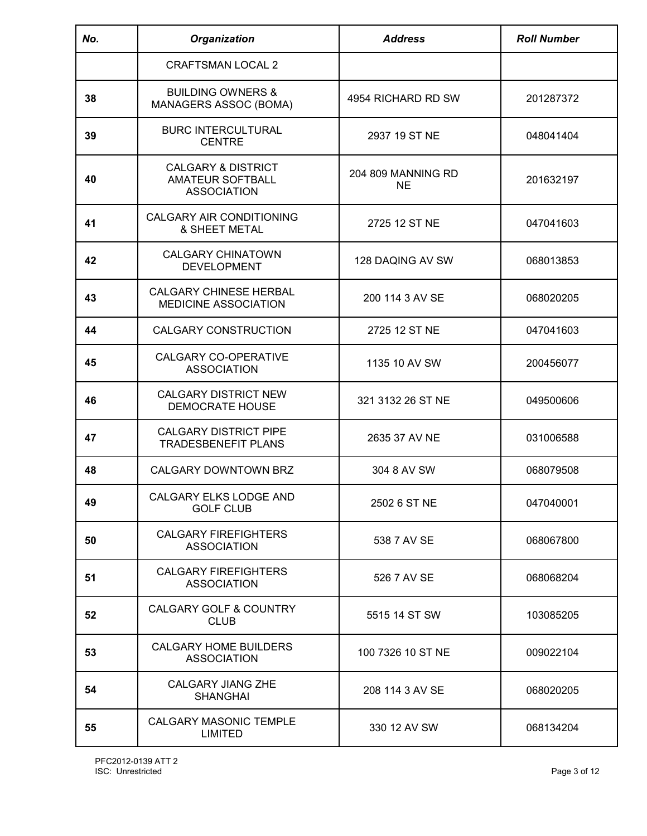| No. | <b>Organization</b>                                                     | <b>Address</b>                  | <b>Roll Number</b> |
|-----|-------------------------------------------------------------------------|---------------------------------|--------------------|
|     | <b>CRAFTSMAN LOCAL 2</b>                                                |                                 |                    |
| 38  | <b>BUILDING OWNERS &amp;</b><br>MANAGERS ASSOC (BOMA)                   | 4954 RICHARD RD SW              | 201287372          |
| 39  | <b>BURC INTERCULTURAL</b><br><b>CENTRE</b>                              | 2937 19 ST NE                   | 048041404          |
| 40  | <b>CALGARY &amp; DISTRICT</b><br>AMATEUR SOFTBALL<br><b>ASSOCIATION</b> | 204 809 MANNING RD<br><b>NE</b> | 201632197          |
| 41  | CALGARY AIR CONDITIONING<br><b>&amp; SHEET METAL</b>                    | 2725 12 ST NE                   | 047041603          |
| 42  | <b>CALGARY CHINATOWN</b><br><b>DEVELOPMENT</b>                          | 128 DAQING AV SW                | 068013853          |
| 43  | <b>CALGARY CHINESE HERBAL</b><br>MEDICINE ASSOCIATION                   | 200 114 3 AV SE                 | 068020205          |
| 44  | <b>CALGARY CONSTRUCTION</b>                                             | 2725 12 ST NE                   | 047041603          |
| 45  | <b>CALGARY CO-OPERATIVE</b><br><b>ASSOCIATION</b>                       | 1135 10 AV SW                   | 200456077          |
| 46  | <b>CALGARY DISTRICT NEW</b><br><b>DEMOCRATE HOUSE</b>                   | 321 3132 26 ST NE               | 049500606          |
| 47  | <b>CALGARY DISTRICT PIPE</b><br><b>TRADESBENEFIT PLANS</b>              | 2635 37 AV NE                   | 031006588          |
| 48  | CALGARY DOWNTOWN BRZ                                                    | 304 8 AV SW                     | 068079508          |
| 49  | CALGARY ELKS LODGE AND<br><b>GOLF CLUB</b>                              | 2502 6 ST NE                    | 047040001          |
| 50  | <b>CALGARY FIREFIGHTERS</b><br><b>ASSOCIATION</b>                       | 538 7 AV SE                     | 068067800          |
| 51  | <b>CALGARY FIREFIGHTERS</b><br><b>ASSOCIATION</b>                       | 526 7 AV SE                     | 068068204          |
| 52  | <b>CALGARY GOLF &amp; COUNTRY</b><br><b>CLUB</b>                        | 5515 14 ST SW                   | 103085205          |
| 53  | <b>CALGARY HOME BUILDERS</b><br><b>ASSOCIATION</b>                      | 100 7326 10 ST NE               | 009022104          |
| 54  | <b>CALGARY JIANG ZHE</b><br><b>SHANGHAI</b>                             | 208 114 3 AV SE                 | 068020205          |
| 55  | CALGARY MASONIC TEMPLE<br><b>LIMITED</b>                                | 330 12 AV SW                    | 068134204          |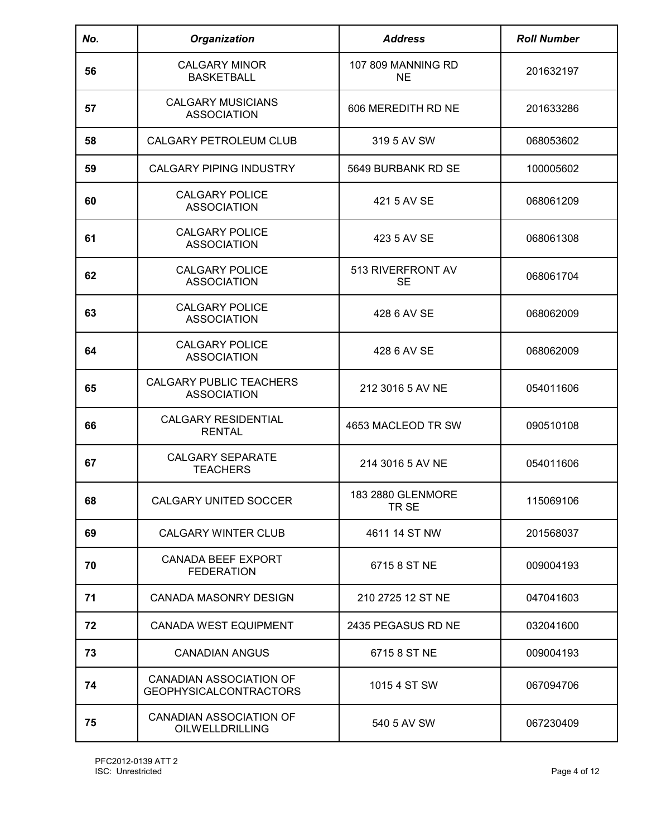| No. | Organization                                             | <b>Address</b>                  | <b>Roll Number</b> |
|-----|----------------------------------------------------------|---------------------------------|--------------------|
| 56  | <b>CALGARY MINOR</b><br><b>BASKETBALL</b>                | 107 809 MANNING RD<br><b>NE</b> | 201632197          |
| 57  | <b>CALGARY MUSICIANS</b><br><b>ASSOCIATION</b>           | 606 MEREDITH RD NE              | 201633286          |
| 58  | CALGARY PETROLEUM CLUB                                   | 319 5 AV SW                     | 068053602          |
| 59  | <b>CALGARY PIPING INDUSTRY</b>                           | 5649 BURBANK RD SE              | 100005602          |
| 60  | <b>CALGARY POLICE</b><br><b>ASSOCIATION</b>              | 421 5 AV SE                     | 068061209          |
| 61  | <b>CALGARY POLICE</b><br><b>ASSOCIATION</b>              | 423 5 AV SE                     | 068061308          |
| 62  | <b>CALGARY POLICE</b><br><b>ASSOCIATION</b>              | 513 RIVERFRONT AV<br><b>SE</b>  | 068061704          |
| 63  | <b>CALGARY POLICE</b><br><b>ASSOCIATION</b>              | 428 6 AV SE                     | 068062009          |
| 64  | <b>CALGARY POLICE</b><br><b>ASSOCIATION</b>              | 428 6 AV SE                     | 068062009          |
| 65  | CALGARY PUBLIC TEACHERS<br><b>ASSOCIATION</b>            | 212 3016 5 AV NE                | 054011606          |
| 66  | <b>CALGARY RESIDENTIAL</b><br><b>RENTAL</b>              | 4653 MACLEOD TR SW              | 090510108          |
| 67  | <b>CALGARY SEPARATE</b><br><b>TEACHERS</b>               | 214 3016 5 AV NE                | 054011606          |
| ხ୪  | <b>CALGARY UNITED SOCCER</b>                             | 183 2880 GLENMORE<br>TR SE      | 115069106          |
| 69  | <b>CALGARY WINTER CLUB</b>                               | 4611 14 ST NW                   | 201568037          |
| 70  | <b>CANADA BEEF EXPORT</b><br><b>FEDERATION</b>           | 6715 8 ST NE                    | 009004193          |
| 71  | <b>CANADA MASONRY DESIGN</b>                             | 210 2725 12 ST NE               | 047041603          |
| 72  | <b>CANADA WEST EQUIPMENT</b>                             | 2435 PEGASUS RD NE              | 032041600          |
| 73  | <b>CANADIAN ANGUS</b>                                    | 6715 8 ST NE                    | 009004193          |
| 74  | CANADIAN ASSOCIATION OF<br><b>GEOPHYSICALCONTRACTORS</b> | 1015 4 ST SW                    | 067094706          |
| 75  | CANADIAN ASSOCIATION OF<br><b>OILWELLDRILLING</b>        | 540 5 AV SW                     | 067230409          |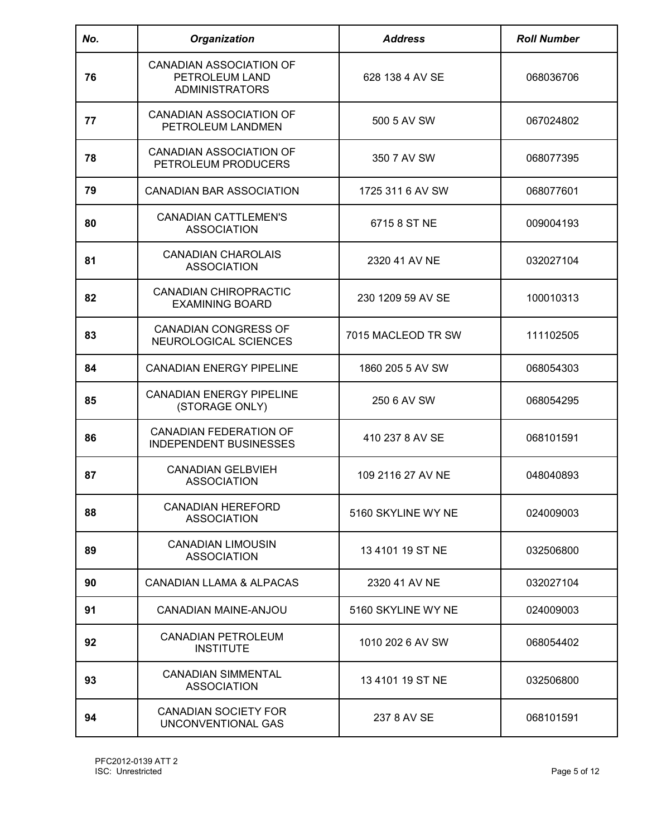| No. | <b>Organization</b>                                                       | <b>Address</b>     | <b>Roll Number</b> |
|-----|---------------------------------------------------------------------------|--------------------|--------------------|
| 76  | <b>CANADIAN ASSOCIATION OF</b><br>PETROLEUM LAND<br><b>ADMINISTRATORS</b> | 628 138 4 AV SE    | 068036706          |
| 77  | <b>CANADIAN ASSOCIATION OF</b><br>PETROLEUM LANDMEN                       | 500 5 AV SW        | 067024802          |
| 78  | <b>CANADIAN ASSOCIATION OF</b><br>PETROLEUM PRODUCERS                     | 350 7 AV SW        | 068077395          |
| 79  | <b>CANADIAN BAR ASSOCIATION</b>                                           | 1725 311 6 AV SW   | 068077601          |
| 80  | <b>CANADIAN CATTLEMEN'S</b><br><b>ASSOCIATION</b>                         | 6715 8 ST NE       | 009004193          |
| 81  | <b>CANADIAN CHAROLAIS</b><br><b>ASSOCIATION</b>                           | 2320 41 AV NE      | 032027104          |
| 82  | <b>CANADIAN CHIROPRACTIC</b><br><b>EXAMINING BOARD</b>                    | 230 1209 59 AV SE  | 100010313          |
| 83  | <b>CANADIAN CONGRESS OF</b><br>NEUROLOGICAL SCIENCES                      | 7015 MACLEOD TR SW | 111102505          |
| 84  | <b>CANADIAN ENERGY PIPELINE</b>                                           | 1860 205 5 AV SW   | 068054303          |
| 85  | <b>CANADIAN ENERGY PIPELINE</b><br>(STORAGE ONLY)                         | 250 6 AV SW        | 068054295          |
| 86  | <b>CANADIAN FEDERATION OF</b><br><b>INDEPENDENT BUSINESSES</b>            | 410 237 8 AV SE    | 068101591          |
| 87  | <b>CANADIAN GELBVIEH</b><br><b>ASSOCIATION</b>                            | 109 2116 27 AV NE  | 048040893          |
| 88  | <b>CANADIAN HEREFORD</b><br><b>ASSOCIATION</b>                            | 5160 SKYLINE WY NE | 024009003          |
| 89  | <b>CANADIAN LIMOUSIN</b><br><b>ASSOCIATION</b>                            | 13410119 ST NE     | 032506800          |
| 90  | CANADIAN LLAMA & ALPACAS                                                  | 2320 41 AV NE      | 032027104          |
| 91  | <b>CANADIAN MAINE-ANJOU</b>                                               | 5160 SKYLINE WY NE | 024009003          |
| 92  | <b>CANADIAN PETROLEUM</b><br><b>INSTITUTE</b>                             | 1010 202 6 AV SW   | 068054402          |
| 93  | <b>CANADIAN SIMMENTAL</b><br><b>ASSOCIATION</b>                           | 13 4101 19 ST NE   | 032506800          |
| 94  | <b>CANADIAN SOCIETY FOR</b><br>UNCONVENTIONAL GAS                         | 237 8 AV SE        | 068101591          |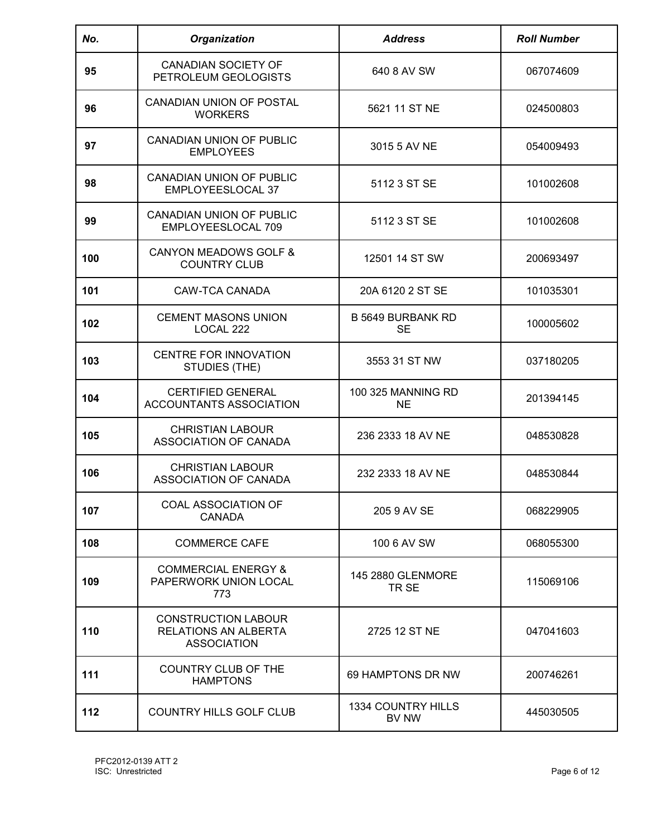| No. | <b>Organization</b>                                                             | <b>Address</b>                         | <b>Roll Number</b> |
|-----|---------------------------------------------------------------------------------|----------------------------------------|--------------------|
| 95  | <b>CANADIAN SOCIETY OF</b><br>PETROLEUM GEOLOGISTS                              | 640 8 AV SW                            | 067074609          |
| 96  | CANADIAN UNION OF POSTAL<br><b>WORKERS</b>                                      | 5621 11 ST NE                          | 024500803          |
| 97  | CANADIAN UNION OF PUBLIC<br><b>EMPLOYEES</b>                                    | 3015 5 AV NE                           | 054009493          |
| 98  | <b>CANADIAN UNION OF PUBLIC</b><br>EMPLOYEESLOCAL 37                            | 5112 3 ST SE                           | 101002608          |
| 99  | <b>CANADIAN UNION OF PUBLIC</b><br>EMPLOYEESLOCAL 709                           | 5112 3 ST SE                           | 101002608          |
| 100 | <b>CANYON MEADOWS GOLF &amp;</b><br><b>COUNTRY CLUB</b>                         | 12501 14 ST SW                         | 200693497          |
| 101 | CAW-TCA CANADA                                                                  | 20A 6120 2 ST SE                       | 101035301          |
| 102 | <b>CEMENT MASONS UNION</b><br>LOCAL 222                                         | <b>B 5649 BURBANK RD</b><br><b>SE</b>  | 100005602          |
| 103 | <b>CENTRE FOR INNOVATION</b><br>STUDIES (THE)                                   | 3553 31 ST NW                          | 037180205          |
| 104 | <b>CERTIFIED GENERAL</b><br>ACCOUNTANTS ASSOCIATION                             | <b>100 325 MANNING RD</b><br><b>NE</b> | 201394145          |
| 105 | <b>CHRISTIAN LABOUR</b><br>ASSOCIATION OF CANADA                                | 236 2333 18 AV NE                      | 048530828          |
| 106 | <b>CHRISTIAN LABOUR</b><br>ASSOCIATION OF CANADA                                | 232 2333 18 AV NE                      | 048530844          |
| 107 | COAL ASSOCIATION OF<br><b>CANADA</b>                                            | 205 9 AV SE                            | 068229905          |
| 108 | <b>COMMERCE CAFE</b>                                                            | 100 6 AV SW                            | 068055300          |
| 109 | <b>COMMERCIAL ENERGY &amp;</b><br>PAPERWORK UNION LOCAL<br>773                  | 145 2880 GLENMORE<br>TR <sub>SE</sub>  | 115069106          |
| 110 | <b>CONSTRUCTION LABOUR</b><br><b>RELATIONS AN ALBERTA</b><br><b>ASSOCIATION</b> | 2725 12 ST NE                          | 047041603          |
| 111 | COUNTRY CLUB OF THE<br><b>HAMPTONS</b>                                          | 69 HAMPTONS DR NW                      | 200746261          |
| 112 | COUNTRY HILLS GOLF CLUB                                                         | 1334 COUNTRY HILLS<br>BV NW            | 445030505          |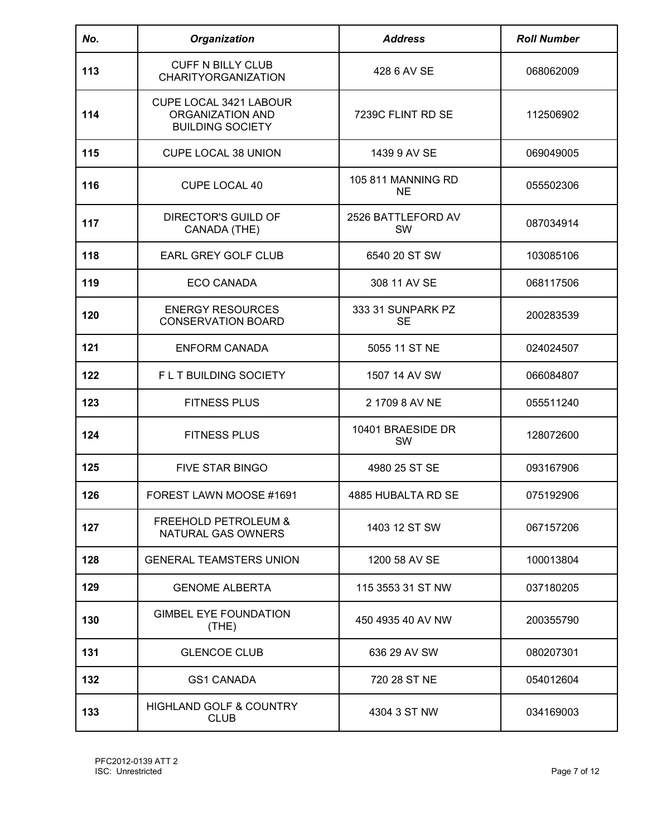| No. | <b>Organization</b>                                                   | <b>Address</b>                  | <b>Roll Number</b> |
|-----|-----------------------------------------------------------------------|---------------------------------|--------------------|
| 113 | <b>CUFF N BILLY CLUB</b><br><b>CHARITYORGANIZATION</b>                | 428 6 AV SE                     | 068062009          |
| 114 | CUPE LOCAL 3421 LABOUR<br>ORGANIZATION AND<br><b>BUILDING SOCIETY</b> | 7239C FLINT RD SE               | 112506902          |
| 115 | <b>CUPE LOCAL 38 UNION</b>                                            | 1439 9 AV SE                    | 069049005          |
| 116 | CUPE LOCAL 40                                                         | 105 811 MANNING RD<br><b>NE</b> | 055502306          |
| 117 | DIRECTOR'S GUILD OF<br>CANADA (THE)                                   | 2526 BATTLEFORD AV<br><b>SW</b> | 087034914          |
| 118 | EARL GREY GOLF CLUB                                                   | 6540 20 ST SW                   | 103085106          |
| 119 | <b>ECO CANADA</b>                                                     | 308 11 AV SE                    | 068117506          |
| 120 | <b>ENERGY RESOURCES</b><br><b>CONSERVATION BOARD</b>                  | 333 31 SUNPARK PZ<br><b>SE</b>  | 200283539          |
| 121 | <b>ENFORM CANADA</b>                                                  | 5055 11 ST NE                   | 024024507          |
| 122 | FLT BUILDING SOCIETY                                                  | 1507 14 AV SW                   | 066084807          |
| 123 | <b>FITNESS PLUS</b>                                                   | 2 1709 8 AV NE                  | 055511240          |
| 124 | <b>FITNESS PLUS</b>                                                   | 10401 BRAESIDE DR<br>SW         | 128072600          |
| 125 | <b>FIVE STAR BINGO</b>                                                | 4980 25 ST SE                   | 093167906          |
| 126 | FOREST LAWN MOOSE #1691                                               | 4885 HUBALTA RD SE              | 075192906          |
| 127 | <b>FREEHOLD PETROLEUM &amp;</b><br>NATURAL GAS OWNERS                 | 1403 12 ST SW                   | 067157206          |
| 128 | <b>GENERAL TEAMSTERS UNION</b>                                        | 1200 58 AV SE                   | 100013804          |
| 129 | <b>GENOME ALBERTA</b>                                                 | 115 3553 31 ST NW               | 037180205          |
| 130 | <b>GIMBEL EYE FOUNDATION</b><br>(THE)                                 | 450 4935 40 AV NW               | 200355790          |
| 131 | <b>GLENCOE CLUB</b>                                                   | 636 29 AV SW                    | 080207301          |
| 132 | <b>GS1 CANADA</b>                                                     | 720 28 ST NE                    | 054012604          |
| 133 | <b>HIGHLAND GOLF &amp; COUNTRY</b><br><b>CLUB</b>                     | 4304 3 ST NW                    | 034169003          |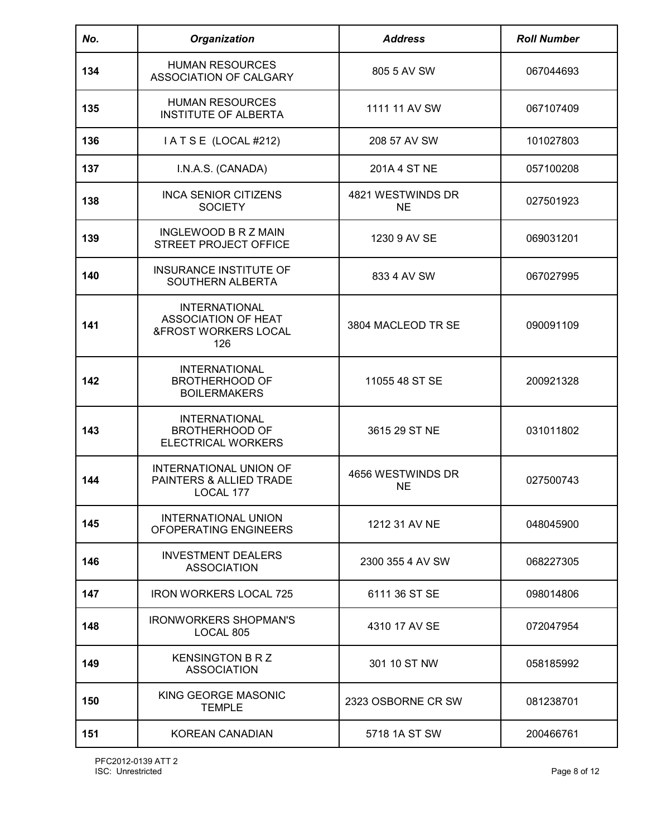| No. | Organization                                                                          | <b>Address</b>                 | <b>Roll Number</b> |
|-----|---------------------------------------------------------------------------------------|--------------------------------|--------------------|
| 134 | <b>HUMAN RESOURCES</b><br>ASSOCIATION OF CALGARY                                      | 805 5 AV SW                    | 067044693          |
| 135 | <b>HUMAN RESOURCES</b><br><b>INSTITUTE OF ALBERTA</b>                                 | 1111 11 AV SW                  | 067107409          |
| 136 | IATSE (LOCAL #212)                                                                    | 208 57 AV SW                   | 101027803          |
| 137 | I.N.A.S. (CANADA)                                                                     | 201A 4 ST NE                   | 057100208          |
| 138 | <b>INCA SENIOR CITIZENS</b><br><b>SOCIETY</b>                                         | 4821 WESTWINDS DR<br><b>NE</b> | 027501923          |
| 139 | <b>INGLEWOOD B R Z MAIN</b><br><b>STREET PROJECT OFFICE</b>                           | 1230 9 AV SE                   | 069031201          |
| 140 | <b>INSURANCE INSTITUTE OF</b><br>SOUTHERN ALBERTA                                     | 833 4 AV SW                    | 067027995          |
| 141 | <b>INTERNATIONAL</b><br>ASSOCIATION OF HEAT<br><b>&amp;FROST WORKERS LOCAL</b><br>126 | 3804 MACLEOD TR SE             | 090091109          |
| 142 | <b>INTERNATIONAL</b><br><b>BROTHERHOOD OF</b><br><b>BOILERMAKERS</b>                  | 11055 48 ST SE                 | 200921328          |
| 143 | <b>INTERNATIONAL</b><br><b>BROTHERHOOD OF</b><br><b>ELECTRICAL WORKERS</b>            | 3615 29 ST NE                  | 031011802          |
| 144 | <b>INTERNATIONAL UNION OF</b><br>PAINTERS & ALLIED TRADE<br>LOCAL 177                 | 4656 WESTWINDS DR<br>NE        | 027500743          |
| 145 | INTERNATIONAL UNION<br>OFOPERATING ENGINEERS                                          | 1212 31 AV NE                  | 048045900          |
| 146 | <b>INVESTMENT DEALERS</b><br><b>ASSOCIATION</b>                                       | 2300 355 4 AV SW               | 068227305          |
| 147 | <b>IRON WORKERS LOCAL 725</b>                                                         | 6111 36 ST SE                  | 098014806          |
| 148 | <b>IRONWORKERS SHOPMAN'S</b><br>LOCAL 805                                             | 4310 17 AV SE                  | 072047954          |
| 149 | <b>KENSINGTON B R Z</b><br><b>ASSOCIATION</b>                                         | 301 10 ST NW                   | 058185992          |
| 150 | KING GEORGE MASONIC<br><b>TEMPLE</b>                                                  | 2323 OSBORNE CR SW             | 081238701          |
| 151 | <b>KOREAN CANADIAN</b>                                                                | 5718 1A ST SW                  | 200466761          |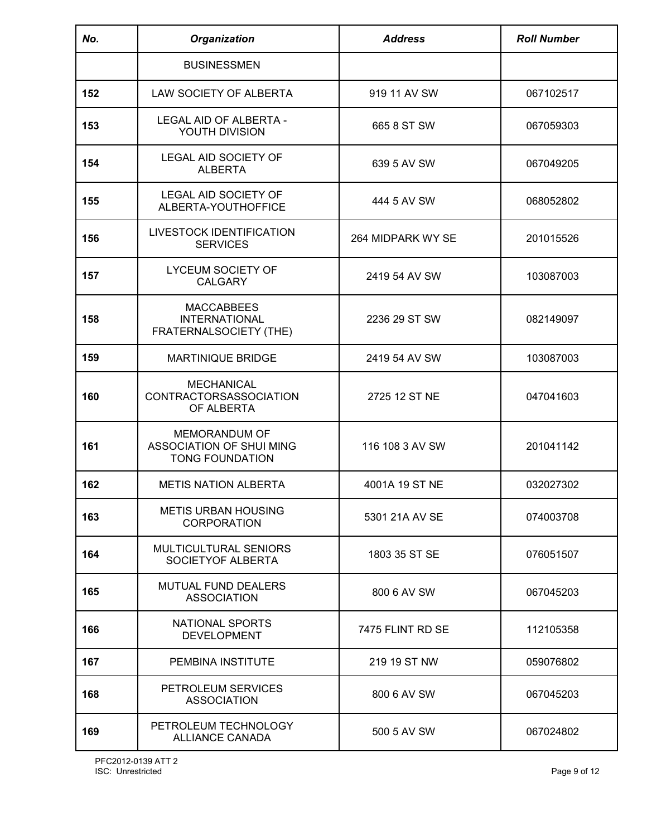| No. | Organization                                                                      | <b>Address</b>    | <b>Roll Number</b> |
|-----|-----------------------------------------------------------------------------------|-------------------|--------------------|
|     | <b>BUSINESSMEN</b>                                                                |                   |                    |
| 152 | LAW SOCIETY OF ALBERTA                                                            | 919 11 AV SW      | 067102517          |
| 153 | LEGAL AID OF ALBERTA -<br>YOUTH DIVISION                                          | 665 8 ST SW       | 067059303          |
| 154 | <b>LEGAL AID SOCIETY OF</b><br><b>ALBERTA</b>                                     | 639 5 AV SW       | 067049205          |
| 155 | LEGAL AID SOCIETY OF<br>ALBERTA-YOUTHOFFICE                                       | 444 5 AV SW       | 068052802          |
| 156 | LIVESTOCK IDENTIFICATION<br><b>SERVICES</b>                                       | 264 MIDPARK WY SE | 201015526          |
| 157 | <b>LYCEUM SOCIETY OF</b><br><b>CALGARY</b>                                        | 2419 54 AV SW     | 103087003          |
| 158 | <b>MACCABBEES</b><br><b>INTERNATIONAL</b><br>FRATERNALSOCIETY (THE)               | 2236 29 ST SW     | 082149097          |
| 159 | <b>MARTINIQUE BRIDGE</b>                                                          | 2419 54 AV SW     | 103087003          |
| 160 | <b>MECHANICAL</b><br><b>CONTRACTORSASSOCIATION</b><br>OF ALBERTA                  | 2725 12 ST NE     | 047041603          |
| 161 | <b>MEMORANDUM OF</b><br><b>ASSOCIATION OF SHUI MING</b><br><b>TONG FOUNDATION</b> | 116 108 3 AV SW   | 201041142          |
| 162 | <b>METIS NATION ALBERTA</b>                                                       | 4001A 19 ST NE    | 032027302          |
| 163 | <b>METIS URBAN HOUSING</b><br><b>CORPORATION</b>                                  | 5301 21A AV SE    | 074003708          |
| 164 | MULTICULTURAL SENIORS<br>SOCIETYOF ALBERTA                                        | 1803 35 ST SE     | 076051507          |
| 165 | <b>MUTUAL FUND DEALERS</b><br><b>ASSOCIATION</b>                                  | 800 6 AV SW       | 067045203          |
| 166 | NATIONAL SPORTS<br><b>DEVELOPMENT</b>                                             | 7475 FLINT RD SE  | 112105358          |
| 167 | PEMBINA INSTITUTE                                                                 | 219 19 ST NW      | 059076802          |
| 168 | PETROLEUM SERVICES<br><b>ASSOCIATION</b>                                          | 800 6 AV SW       | 067045203          |
| 169 | PETROLEUM TECHNOLOGY<br><b>ALLIANCE CANADA</b>                                    | 500 5 AV SW       | 067024802          |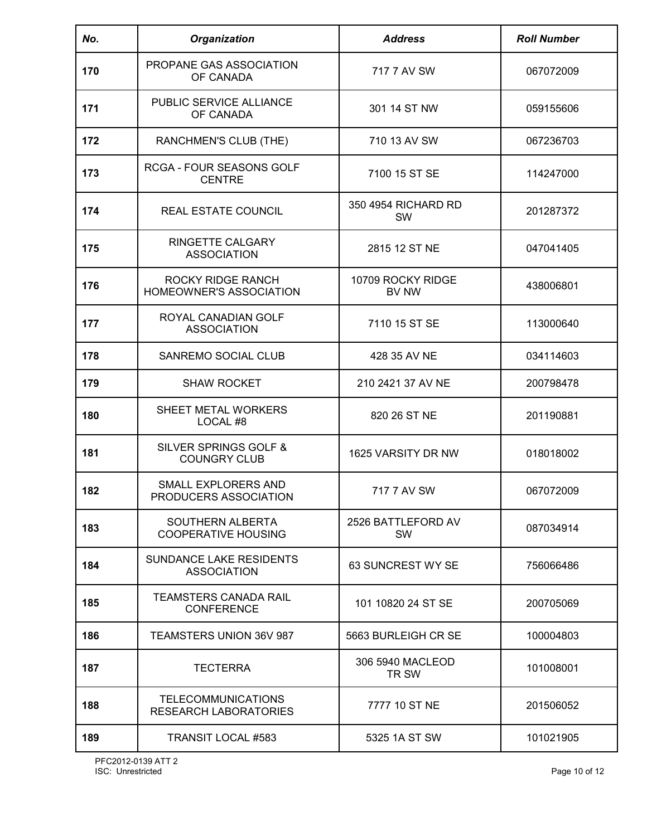| No. | <b>Organization</b>                                       | <b>Address</b>                   | <b>Roll Number</b> |
|-----|-----------------------------------------------------------|----------------------------------|--------------------|
| 170 | PROPANE GAS ASSOCIATION<br>OF CANADA                      | 717 7 AV SW                      | 067072009          |
| 171 | PUBLIC SERVICE ALLIANCE<br>OF CANADA                      | 301 14 ST NW                     | 059155606          |
| 172 | RANCHMEN'S CLUB (THE)                                     | 710 13 AV SW                     | 067236703          |
| 173 | RCGA - FOUR SEASONS GOLF<br><b>CENTRE</b>                 | 7100 15 ST SE                    | 114247000          |
| 174 | REAL ESTATE COUNCIL                                       | 350 4954 RICHARD RD<br><b>SW</b> | 201287372          |
| 175 | RINGETTE CALGARY<br><b>ASSOCIATION</b>                    | 2815 12 ST NE                    | 047041405          |
| 176 | <b>ROCKY RIDGE RANCH</b><br>HOMEOWNER'S ASSOCIATION       | 10709 ROCKY RIDGE<br>BV NW       | 438006801          |
| 177 | ROYAL CANADIAN GOLF<br><b>ASSOCIATION</b>                 | 7110 15 ST SE                    | 113000640          |
| 178 | SANREMO SOCIAL CLUB                                       | 428 35 AV NE                     | 034114603          |
| 179 | <b>SHAW ROCKET</b>                                        | 210 2421 37 AV NE                | 200798478          |
| 180 | SHEET METAL WORKERS<br>LOCAL #8                           | 820 26 ST NE                     | 201190881          |
| 181 | SILVER SPRINGS GOLF &<br><b>COUNGRY CLUB</b>              | 1625 VARSITY DR NW               | 018018002          |
| 182 | SMALL EXPLORERS AND<br>PRODUCERS ASSOCIATION              | 717 7 AV SW                      | 067072009          |
| 183 | SOUTHERN ALBERTA<br><b>COOPERATIVE HOUSING</b>            | 2526 BATTLEFORD AV<br>SW         | 087034914          |
| 184 | <b>SUNDANCE LAKE RESIDENTS</b><br><b>ASSOCIATION</b>      | 63 SUNCREST WY SE                | 756066486          |
| 185 | <b>TEAMSTERS CANADA RAIL</b><br><b>CONFERENCE</b>         | 101 10820 24 ST SE               | 200705069          |
| 186 | <b>TEAMSTERS UNION 36V 987</b>                            | 5663 BURLEIGH CR SE              | 100004803          |
| 187 | <b>TECTERRA</b>                                           | 306 5940 MACLEOD<br>TR SW        | 101008001          |
| 188 | <b>TELECOMMUNICATIONS</b><br><b>RESEARCH LABORATORIES</b> | 7777 10 ST NE                    | 201506052          |
| 189 | <b>TRANSIT LOCAL #583</b>                                 | 5325 1A ST SW                    | 101021905          |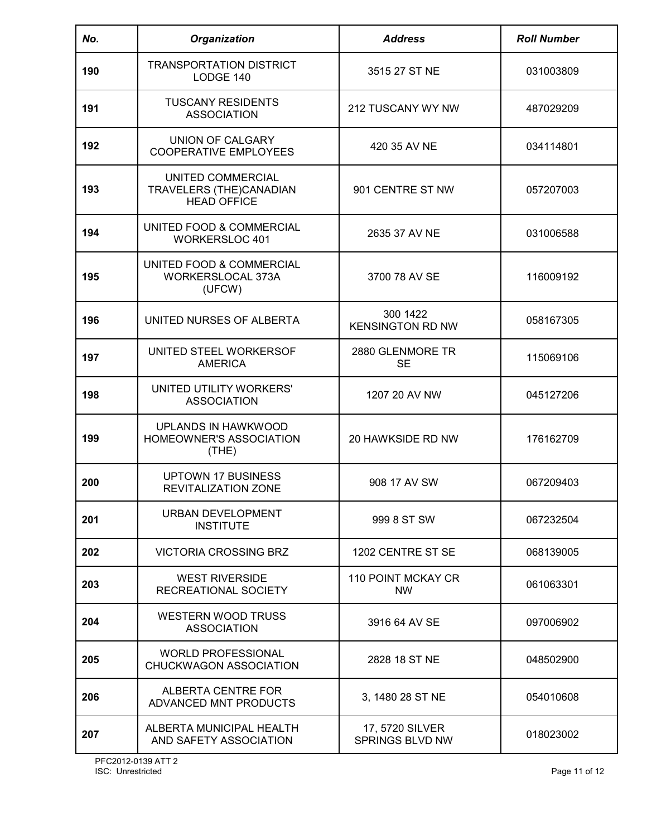| No. | Organization                                                       | <b>Address</b>                      | <b>Roll Number</b> |
|-----|--------------------------------------------------------------------|-------------------------------------|--------------------|
| 190 | <b>TRANSPORTATION DISTRICT</b><br>LODGE 140                        | 3515 27 ST NE                       | 031003809          |
| 191 | <b>TUSCANY RESIDENTS</b><br><b>ASSOCIATION</b>                     | 212 TUSCANY WY NW                   | 487029209          |
| 192 | UNION OF CALGARY<br><b>COOPERATIVE EMPLOYEES</b>                   | 420 35 AV NE                        | 034114801          |
| 193 | UNITED COMMERCIAL<br>TRAVELERS (THE)CANADIAN<br><b>HEAD OFFICE</b> | 901 CENTRE ST NW                    | 057207003          |
| 194 | UNITED FOOD & COMMERCIAL<br><b>WORKERSLOC 401</b>                  | 2635 37 AV NE                       | 031006588          |
| 195 | UNITED FOOD & COMMERCIAL<br>WORKERSLOCAL 373A<br>(UFCW)            | 3700 78 AV SE                       | 116009192          |
| 196 | UNITED NURSES OF ALBERTA                                           | 300 1422<br><b>KENSINGTON RD NW</b> | 058167305          |
| 197 | UNITED STEEL WORKERSOF<br><b>AMERICA</b>                           | 2880 GLENMORE TR<br><b>SE</b>       | 115069106          |
| 198 | UNITED UTILITY WORKERS'<br><b>ASSOCIATION</b>                      | 1207 20 AV NW                       | 045127206          |
| 199 | UPLANDS IN HAWKWOOD<br>HOMEOWNER'S ASSOCIATION<br>(THE)            | 20 HAWKSIDE RD NW                   | 176162709          |
| 200 | UPTOWN 17 BUSINESS<br><b>REVITALIZATION ZONE</b>                   | 908 17 AV SW                        | 067209403          |
| 201 | <b>URBAN DEVELOPMENT</b><br><b>INSTITUTE</b>                       | 999 8 ST SW                         | 067232504          |
| 202 | VICTORIA CROSSING BRZ                                              | 1202 CENTRE ST SE                   | 068139005          |
| 203 | <b>WEST RIVERSIDE</b><br>RECREATIONAL SOCIETY                      | 110 POINT MCKAY CR<br>NW            | 061063301          |
| 204 | <b>WESTERN WOOD TRUSS</b><br><b>ASSOCIATION</b>                    | 3916 64 AV SE                       | 097006902          |
| 205 | <b>WORLD PROFESSIONAL</b><br>CHUCKWAGON ASSOCIATION                | 2828 18 ST NE                       | 048502900          |
| 206 | ALBERTA CENTRE FOR<br>ADVANCED MNT PRODUCTS                        | 3, 1480 28 ST NE                    | 054010608          |
| 207 | ALBERTA MUNICIPAL HEALTH<br>AND SAFETY ASSOCIATION                 | 17, 5720 SILVER<br>SPRINGS BLVD NW  | 018023002          |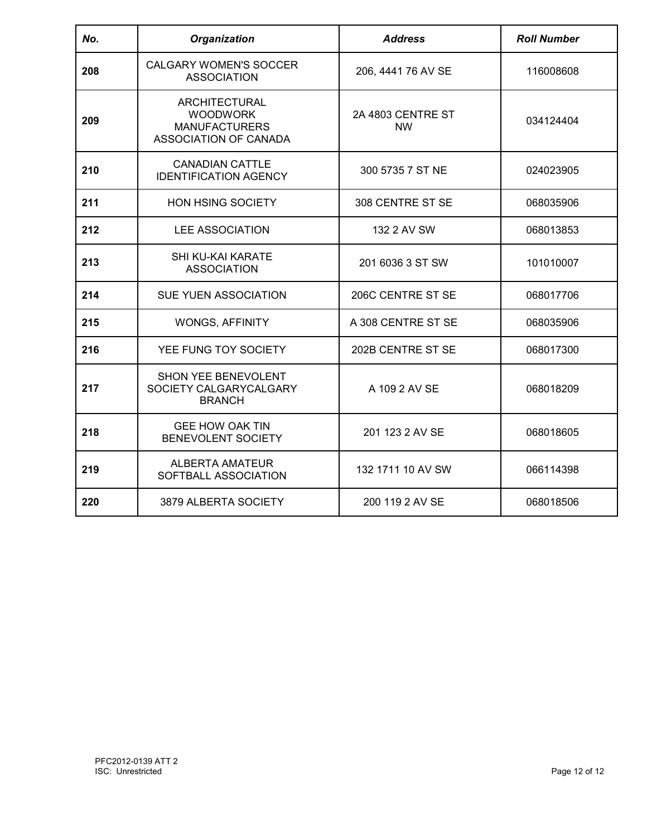| No. | <b>Organization</b>                                                                      | <b>Address</b>                 | <b>Roll Number</b> |
|-----|------------------------------------------------------------------------------------------|--------------------------------|--------------------|
| 208 | <b>CALGARY WOMEN'S SOCCER</b><br><b>ASSOCIATION</b>                                      | 206, 4441 76 AV SE             | 116008608          |
| 209 | <b>ARCHITECTURAL</b><br><b>WOODWORK</b><br><b>MANUFACTURERS</b><br>ASSOCIATION OF CANADA | 2A 4803 CENTRE ST<br><b>NW</b> | 034124404          |
| 210 | <b>CANADIAN CATTLE</b><br><b>IDENTIFICATION AGENCY</b>                                   | 300 5735 7 ST NE               | 024023905          |
| 211 | <b>HON HSING SOCIETY</b>                                                                 | 308 CENTRE ST SE               | 068035906          |
| 212 | <b>LEE ASSOCIATION</b>                                                                   | 132 2 AV SW                    | 068013853          |
| 213 | SHI KU-KAI KARATE<br><b>ASSOCIATION</b>                                                  | 201 6036 3 ST SW               | 101010007          |
| 214 | SUE YUEN ASSOCIATION                                                                     | 206C CENTRE ST SE              | 068017706          |
| 215 | <b>WONGS, AFFINITY</b>                                                                   | A 308 CENTRE ST SE             | 068035906          |
| 216 | YEE FUNG TOY SOCIETY                                                                     | 202B CENTRE ST SE              | 068017300          |
| 217 | SHON YEE BENEVOLENT<br>SOCIETY CALGARYCALGARY<br><b>BRANCH</b>                           | A 109 2 AV SE                  | 068018209          |
| 218 | <b>GEE HOW OAK TIN</b><br>BENEVOLENT SOCIETY                                             | 201 123 2 AV SE                | 068018605          |
| 219 | <b>ALBERTA AMATEUR</b><br>SOFTBALL ASSOCIATION                                           | 132 1711 10 AV SW              | 066114398          |
| 220 | 3879 ALBERTA SOCIETY                                                                     | 200 119 2 AV SE                | 068018506          |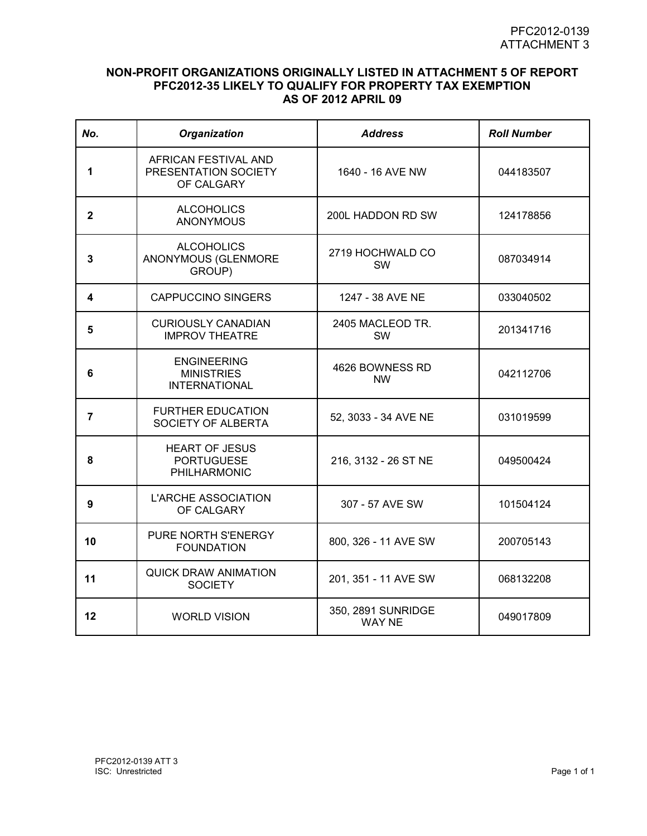## **NON-PROFIT ORGANIZATIONS ORIGINALLY LISTED IN ATTACHMENT 5 OF REPORT PFC2012-35 LIKELY TO QUALIFY FOR PROPERTY TAX EXEMPTION AS OF 2012 APRIL 09**

| No.          | <b>Organization</b>                                             | <b>Address</b>                      | <b>Roll Number</b> |
|--------------|-----------------------------------------------------------------|-------------------------------------|--------------------|
| 1            | AFRICAN FESTIVAL AND<br>PRESENTATION SOCIETY<br>OF CALGARY      | 1640 - 16 AVE NW                    | 044183507          |
| $\mathbf{2}$ | <b>ALCOHOLICS</b><br><b>ANONYMOUS</b>                           | 200L HADDON RD SW                   | 124178856          |
| 3            | <b>ALCOHOLICS</b><br>ANONYMOUS (GLENMORE<br>GROUP)              | 2719 HOCHWALD CO<br><b>SW</b>       | 087034914          |
| 4            | <b>CAPPUCCINO SINGERS</b>                                       | 1247 - 38 AVE NE                    | 033040502          |
| 5            | <b>CURIOUSLY CANADIAN</b><br><b>IMPROV THEATRE</b>              | 2405 MACLEOD TR.<br><b>SW</b>       | 201341716          |
| 6            | <b>ENGINEERING</b><br><b>MINISTRIES</b><br><b>INTERNATIONAL</b> | 4626 BOWNESS RD<br><b>NW</b>        | 042112706          |
| 7            | <b>FURTHER EDUCATION</b><br>SOCIETY OF ALBERTA                  | 52, 3033 - 34 AVE NE                | 031019599          |
| 8            | <b>HEART OF JESUS</b><br><b>PORTUGUESE</b><br>PHILHARMONIC      | 216, 3132 - 26 ST NE                | 049500424          |
| 9            | <b>L'ARCHE ASSOCIATION</b><br>OF CALGARY                        | 307 - 57 AVE SW                     | 101504124          |
| 10           | PURE NORTH S'ENERGY<br><b>FOUNDATION</b>                        | 800, 326 - 11 AVE SW                | 200705143          |
| 11           | <b>QUICK DRAW ANIMATION</b><br><b>SOCIETY</b>                   | 201, 351 - 11 AVE SW                | 068132208          |
| 12           | <b>WORLD VISION</b>                                             | 350, 2891 SUNRIDGE<br><b>WAY NE</b> | 049017809          |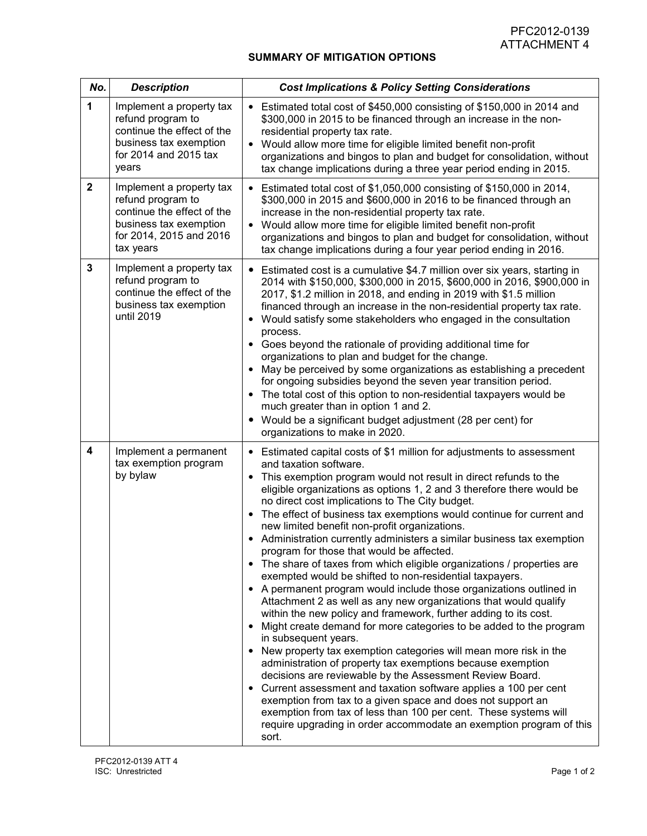## **SUMMARY OF MITIGATION OPTIONS**

| No.         | <b>Description</b>                                                                                                                            | <b>Cost Implications &amp; Policy Setting Considerations</b>                                                                                                                                                                                                                                                                                                                                                                                                                                                                                                                                                                                                                                                                                                                                                                                                                                                                                                                                                                                                                                                                                                                                                                                                                                                                                                                                                                                                                                                                          |
|-------------|-----------------------------------------------------------------------------------------------------------------------------------------------|---------------------------------------------------------------------------------------------------------------------------------------------------------------------------------------------------------------------------------------------------------------------------------------------------------------------------------------------------------------------------------------------------------------------------------------------------------------------------------------------------------------------------------------------------------------------------------------------------------------------------------------------------------------------------------------------------------------------------------------------------------------------------------------------------------------------------------------------------------------------------------------------------------------------------------------------------------------------------------------------------------------------------------------------------------------------------------------------------------------------------------------------------------------------------------------------------------------------------------------------------------------------------------------------------------------------------------------------------------------------------------------------------------------------------------------------------------------------------------------------------------------------------------------|
| 1           | Implement a property tax<br>refund program to<br>continue the effect of the<br>business tax exemption<br>for 2014 and 2015 tax<br>years       | • Estimated total cost of \$450,000 consisting of \$150,000 in 2014 and<br>\$300,000 in 2015 to be financed through an increase in the non-<br>residential property tax rate.<br>• Would allow more time for eligible limited benefit non-profit<br>organizations and bingos to plan and budget for consolidation, without<br>tax change implications during a three year period ending in 2015.                                                                                                                                                                                                                                                                                                                                                                                                                                                                                                                                                                                                                                                                                                                                                                                                                                                                                                                                                                                                                                                                                                                                      |
| $\mathbf 2$ | Implement a property tax<br>refund program to<br>continue the effect of the<br>business tax exemption<br>for 2014, 2015 and 2016<br>tax years | • Estimated total cost of \$1,050,000 consisting of \$150,000 in 2014,<br>\$300,000 in 2015 and \$600,000 in 2016 to be financed through an<br>increase in the non-residential property tax rate.<br>Would allow more time for eligible limited benefit non-profit<br>organizations and bingos to plan and budget for consolidation, without<br>tax change implications during a four year period ending in 2016.                                                                                                                                                                                                                                                                                                                                                                                                                                                                                                                                                                                                                                                                                                                                                                                                                                                                                                                                                                                                                                                                                                                     |
| 3           | Implement a property tax<br>refund program to<br>continue the effect of the<br>business tax exemption<br>until 2019                           | • Estimated cost is a cumulative \$4.7 million over six years, starting in<br>2014 with \$150,000, \$300,000 in 2015, \$600,000 in 2016, \$900,000 in<br>2017, \$1.2 million in 2018, and ending in 2019 with \$1.5 million<br>financed through an increase in the non-residential property tax rate.<br>Would satisfy some stakeholders who engaged in the consultation<br>$\bullet$<br>process.<br>• Goes beyond the rationale of providing additional time for<br>organizations to plan and budget for the change.<br>May be perceived by some organizations as establishing a precedent<br>$\bullet$<br>for ongoing subsidies beyond the seven year transition period.<br>The total cost of this option to non-residential taxpayers would be<br>٠<br>much greater than in option 1 and 2.<br>Would be a significant budget adjustment (28 per cent) for<br>organizations to make in 2020.                                                                                                                                                                                                                                                                                                                                                                                                                                                                                                                                                                                                                                        |
| 4           | Implement a permanent<br>tax exemption program<br>by bylaw                                                                                    | • Estimated capital costs of \$1 million for adjustments to assessment<br>and taxation software.<br>This exemption program would not result in direct refunds to the<br>$\bullet$<br>eligible organizations as options 1, 2 and 3 therefore there would be<br>no direct cost implications to The City budget.<br>The effect of business tax exemptions would continue for current and<br>$\bullet$<br>new limited benefit non-profit organizations.<br>Administration currently administers a similar business tax exemption<br>program for those that would be affected.<br>• The share of taxes from which eligible organizations / properties are<br>exempted would be shifted to non-residential taxpayers.<br>• A permanent program would include those organizations outlined in<br>Attachment 2 as well as any new organizations that would qualify<br>within the new policy and framework, further adding to its cost.<br>Might create demand for more categories to be added to the program<br>٠<br>in subsequent years.<br>New property tax exemption categories will mean more risk in the<br>$\bullet$<br>administration of property tax exemptions because exemption<br>decisions are reviewable by the Assessment Review Board.<br>• Current assessment and taxation software applies a 100 per cent<br>exemption from tax to a given space and does not support an<br>exemption from tax of less than 100 per cent. These systems will<br>require upgrading in order accommodate an exemption program of this<br>sort. |